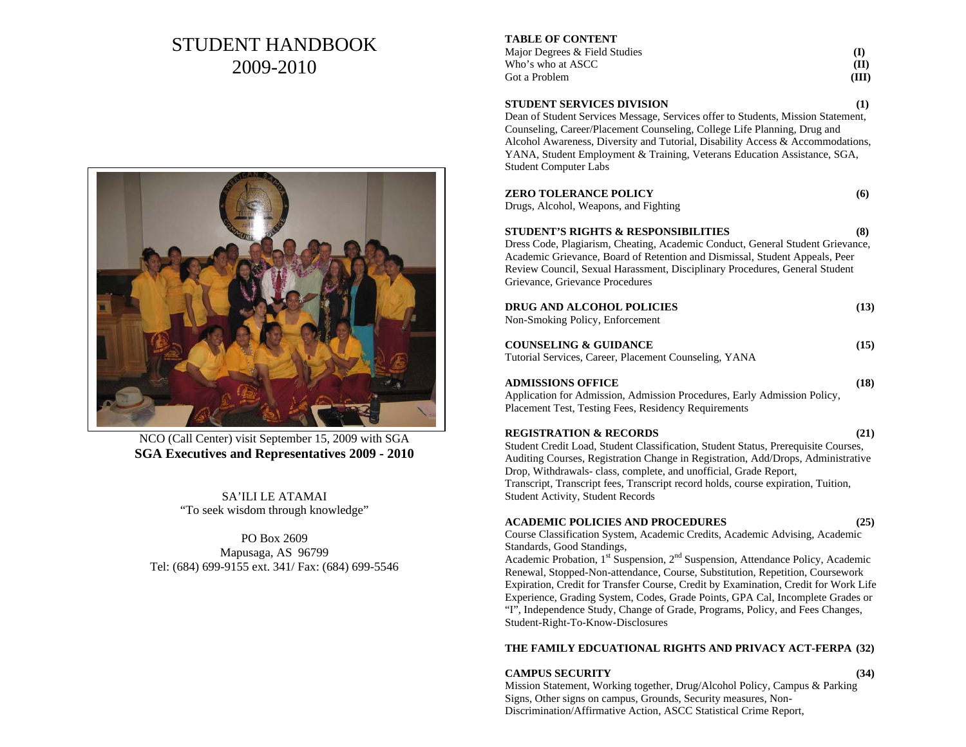# STUDENT HANDBOOK 2009-2010



NCO (Call Center) visit September 15, 2009 with SGA **SGA Executives and Representatives 2009 - 2010** 

SA'ILI LE ATAMAI "To seek wisdom through knowledge"

PO Box 2609 Mapusaga, AS 96799 Tel: (684) 699-9155 ext. 341/ Fax: (684) 699-5546

#### **TABLE OF CONTENT**

| Major Degrees & Field Studies |       |
|-------------------------------|-------|
| Who's who at ASCC .           | (II)  |
| Got a Problem                 | (III) |

#### **STUDENT SERVICES DIVISION (1)**

Dean of Student Services Message, Services offer to Students, Mission Statement, Counseling, Career/Placement Counseling, College Life Planning, Drug and Alcohol Awareness, Diversity and Tutorial, Disability Access & Accommodations, YANA, Student Employment & Training, Veterans Education Assistance, SGA, Student Computer Labs

| <b>ZERO TOLERANCE POLICY</b>          | (6) |
|---------------------------------------|-----|
| Drugs, Alcohol, Weapons, and Fighting |     |

#### **STUDENT'S RIGHTS & RESPONSIBILITIES (8)**

Dress Code, Plagiarism, Cheating, Academic Conduct, General Student Grievance, Academic Grievance, Board of Retention and Dismissal, Student Appeals, Peer Review Council, Sexual Harassment, Disciplinary Procedures, General Student Grievance, Grievance Procedures

| DRUG AND ALCOHOL POLICIES       | (13) |
|---------------------------------|------|
| Non-Smoking Policy, Enforcement |      |

| <b>COUNSELING &amp; GUIDANCE</b>                      | (15) |
|-------------------------------------------------------|------|
| Tutorial Services, Career, Placement Counseling, YANA |      |

# **ADMISSIONS OFFICE (18)**

Application for Admission, Admission Procedures, Early Admission Policy, Placement Test, Testing Fees, Residency Requirements

#### **REGISTRATION & RECORDS (21)**

Student Credit Load, Student Classification, Student Status, Prerequisite Courses, Auditing Courses, Registration Change in Registration, Add/Drops, Administrative Drop, Withdrawals- class, complete, and unofficial, Grade Report, Transcript, Transcript fees, Transcript record holds, course expiration, Tuition, Student Activity, Student Records

#### **ACADEMIC POLICIES AND PROCEDURES (25)**

Course Classification System, Academic Credits, Academic Advising, Academic Standards, Good Standings,

Academic Probation, 1<sup>st</sup> Suspension, 2<sup>nd</sup> Suspension, Attendance Policy, Academic Renewal, Stopped-Non-attendance, Course, Substitution, Repetition, Coursework Expiration, Credit for Transfer Course, Credit by Examination, Credit for Work Life Experience, Grading System, Codes, Grade Points, GPA Cal, Incomplete Grades or "I", Independence Study, Change of Grade, Programs, Policy, and Fees Changes, Student-Right-To-Know-Disclosures

### **THE FAMILY EDCUATIONAL RIGHTS AND PRIVACY ACT-FERPA (32)**

## **CAMPUS SECURITY (34)**

Mission Statement, Working together, Drug/Alcohol Policy, Campus & Parking Signs, Other signs on campus, Grounds, Security measures, Non-Discrimination/Affirmative Action, ASCC Statistical Crime Report,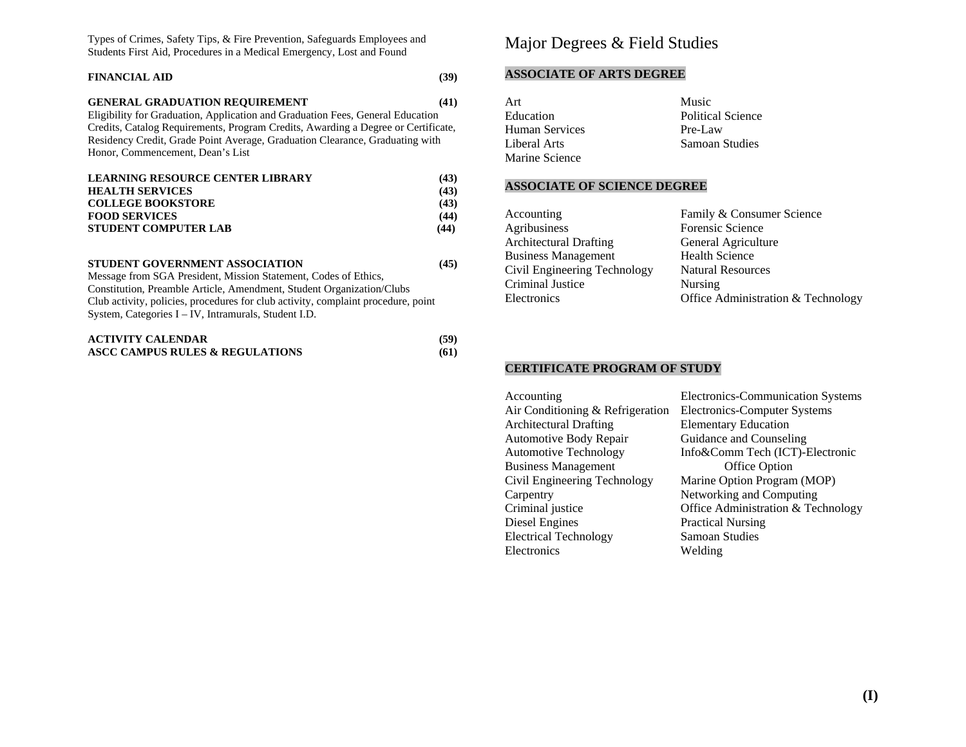Types of Crimes, Safety Tips, & Fire Prevention, Safeguards Employees and Students First Aid, Procedures in a Medical Emergency, Lost and Found

# **FINANCIAL AID (39)**

#### **GENERAL GRADUATION REQUIREMENT** (41)

Eligibility for Graduation, Application and Graduation Fees, General Education Credits, Catalog Requirements, Program Credits, Awarding a Degree or Certificate, Residency Credit, Grade Point Average, Graduation Clearance, Graduating with Honor, Commencement, Dean's List

| <b>LEARNING RESOURCE CENTER LIBRARY</b> | (43) |
|-----------------------------------------|------|
| <b>HEALTH SERVICES</b>                  | (43) |
| <b>COLLEGE BOOKSTORE</b>                | (43) |
| <b>FOOD SERVICES</b>                    | (44) |
| <b>STUDENT COMPUTER LAB</b>             | (44) |

#### **STUDENT GOVERNMENT ASSOCIATION** (45)

Message from SGA President, Mission Statement, Codes of Ethics, Constitution, Preamble Article, Amendment, Student Organization/Clubs Club activity, policies, procedures for club activity, complaint procedure, point System, Categories I – IV, Intramurals, Student I.D.

| <b>ACTIVITY CALENDAR</b>        | (59) |
|---------------------------------|------|
| ASCC CAMPUS RULES & REGULATIONS | (61) |

# Major Degrees & Field Studies

#### **ASSOCIATE OF ARTS DEGREE**

| Art            | Music             |
|----------------|-------------------|
| Education      | Political Science |
| Human Services | Pre-Law           |
| Liberal Arts   | Samoan Studies    |
| Marine Science |                   |

#### **ASSOCIATE OF SCIENCE DEGREE**

| Accounting                    | Family & Consumer Science          |
|-------------------------------|------------------------------------|
| Agribusiness                  | Forensic Science                   |
| <b>Architectural Drafting</b> | General Agriculture                |
| <b>Business Management</b>    | <b>Health Science</b>              |
| Civil Engineering Technology  | <b>Natural Resources</b>           |
| Criminal Justice              | <b>Nursing</b>                     |
| Electronics                   | Office Administration & Technology |
|                               |                                    |

#### **CERTIFICATE PROGRAM OF STUDY**

| Accounting                       | Electronics-Communication Systems  |
|----------------------------------|------------------------------------|
| Air Conditioning & Refrigeration | Electronics-Computer Systems       |
| <b>Architectural Drafting</b>    | <b>Elementary Education</b>        |
| Automotive Body Repair           | Guidance and Counseling            |
| <b>Automotive Technology</b>     | Info&Comm Tech (ICT)-Electronic    |
| <b>Business Management</b>       | Office Option                      |
| Civil Engineering Technology     | Marine Option Program (MOP)        |
| Carpentry                        | Networking and Computing           |
| Criminal justice                 | Office Administration & Technology |
| Diesel Engines                   | <b>Practical Nursing</b>           |
| <b>Electrical Technology</b>     | Samoan Studies                     |
| Electronics                      | Welding                            |
|                                  |                                    |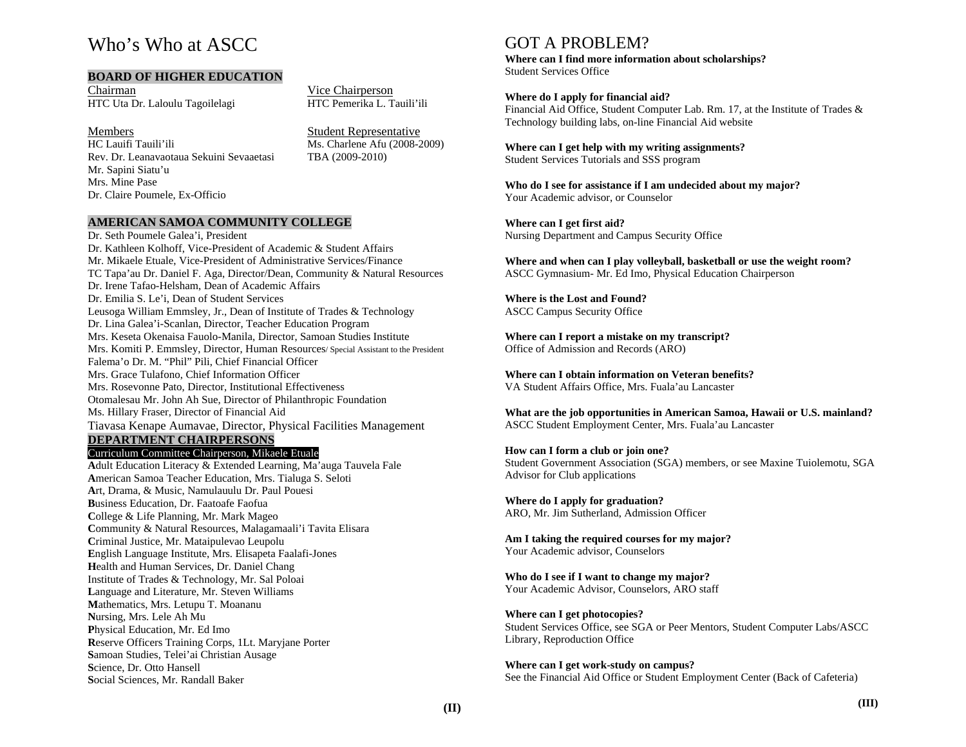# Who's Who at ASCC

#### **BOARD OF HIGHER EDUCATION**

ChairmanHTC Uta Dr. Laloulu Tagoilelagi Vice Chairperson<br>HTC Pemerika L. Tauili'ili

#### Members

HC Lauifi Tauili'ili Ms. Charlene Afu (2008-2009) Rev. Dr. Leanavaotaua Sekuini Sevaaetasi TBA (2009-2010) Mr. Sapini Siatu'u Mrs. Mine Pase Dr. Claire Poumele, Ex-Officio

Student Representative

### **AMERICAN SAMOA COMMUNITY COLLEGE**

Dr. Seth Poumele Galea'i, President Dr. Kathleen Kolhoff, Vice-President of Academic & Student Affairs Mr. Mikaele Etuale, Vice-President of Administrative Services/Finance TC Tapa'au Dr. Daniel F. Aga, Director/Dean, Community & Natural Resources Dr. Irene Tafao-Helsham, Dean of Academic Affairs Dr. Emilia S. Le'i, Dean of Student Services Leusoga William Emmsley, Jr., Dean of Institute of Trades & Technology Dr. Lina Galea'i-Scanlan, Director, Teacher Education Program Mrs. Keseta Okenaisa Fauolo-Manila, Director, Samoan Studies Institute Mrs. Komiti P. Emmsley, Director, Human Resources/ Special Assistant to the President Falema'o Dr. M. "Phil" Pili, Chief Financial Officer Mrs. Grace Tulafono, Chief Information Officer Mrs. Rosevonne Pato, Director, Institutional Effectiveness Otomalesau Mr. John Ah Sue, Director of Philanthropic Foundation Ms. Hillary Fraser, Director of Financial Aid Tiavasa Kenape Aumavae, Director, Physical Facilities Management **DEPARTMENT CHAIRPERSONS**Curriculum Committee Chairperson, Mikaele Etuale

**A**dult Education Literacy & Extended Learning, Ma'auga Tauvela Fale **A**merican Samoa Teacher Education, Mrs. Tialuga S. Seloti **A**rt, Drama, & Music, Namulauulu Dr. Paul Pouesi **B**usiness Education, Dr. Faatoafe Faofua **C**ollege & Life Planning, Mr. Mark Mageo **C**ommunity & Natural Resources, Malagamaali'i Tavita Elisara **C**riminal Justice, Mr. Mataipulevao Leupolu **E**nglish Language Institute, Mrs. Elisapeta Faalafi-Jones **H**ealth and Human Services, Dr. Daniel Chang Institute of Trades & Technology, Mr. Sal Poloai **L**anguage and Literature, Mr. Steven Williams **M**athematics, Mrs. Letupu T. Moananu **N**ursing, Mrs. Lele Ah Mu **P**hysical Education, Mr. Ed Imo **R**eserve Officers Training Corps, 1Lt. Maryjane Porter **S**amoan Studies, Telei'ai Christian Ausage **S**cience, Dr. Otto Hansell **S**ocial Sciences, Mr. Randall Baker

# GOT A PROBLEM?

**Where can I find more information about scholarships?**  Student Services Office

#### **Where do I apply for financial aid?**

Financial Aid Office, Student Computer Lab. Rm. 17, at the Institute of Trades & Technology building labs, on-line Financial Aid website

#### **Where can I get help with my writing assignments?**  Student Services Tutorials and SSS program

**Who do I see for assistance if I am undecided about my major?**  Your Academic advisor, or Counselor

**Where can I get first aid?**  Nursing Department and Campus Security Office

**Where and when can I play volleyball, basketball or use the weight room?**  ASCC Gymnasium- Mr. Ed Imo, Physical Education Chairperson

**Where is the Lost and Found?** ASCC Campus Security Office

**Where can I report a mistake on my transcript?**  Office of Admission and Records (ARO)

**Where can I obtain information on Veteran benefits?**  VA Student Affairs Office, Mrs. Fuala'au Lancaster

**What are the job opportunities in American Samoa, Hawaii or U.S. mainland?**  ASCC Student Employment Center, Mrs. Fuala'au Lancaster

#### **How can I form a club or join one?**

Student Government Association (SGA) members, or see Maxine Tuiolemotu, SGA Advisor for Club applications

**Where do I apply for graduation?**  ARO, Mr. Jim Sutherland, Admission Officer

**Am I taking the required courses for my major?**  Your Academic advisor, Counselors

**Who do I see if I want to change my major?**  Your Academic Advisor, Counselors, ARO staff

**Where can I get photocopies?**  Student Services Office, see SGA or Peer Mentors, Student Computer Labs/ASCC Library, Reproduction Office

**Where can I get work-study on campus?**  See the Financial Aid Office or Student Employment Center (Back of Cafeteria)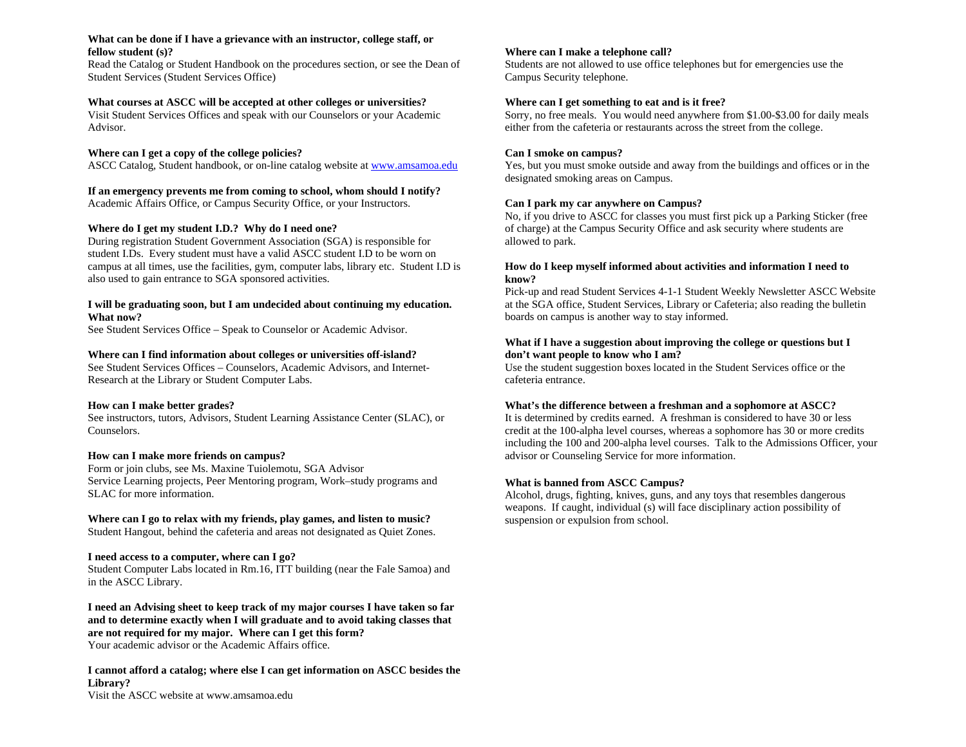#### **What can be done if I have a grievance with an instructor, college staff, or fellow student (s)?**

Read the Catalog or Student Handbook on the procedures section, or see the Dean of Student Services (Student Services Office)

#### **What courses at ASCC will be accepted at other colleges or universities?**

Visit Student Services Offices and speak with our Counselors or your Academic Advisor.

#### **Where can I get a copy of the college policies?**

ASCC Catalog, Student handbook, or on-line catalog website at www.amsamoa.edu

#### **If an emergency prevents me from coming to school, whom should I notify?**

Academic Affairs Office, or Campus Security Office, or your Instructors.

#### **Where do I get my student I.D.? Why do I need one?**

During registration Student Government Association (SGA) is responsible for student I.Ds. Every student must have a valid ASCC student I.D to be worn on campus at all times, use the facilities, gym, computer labs, library etc. Student I.D is also used to gain entrance to SGA sponsored activities.

#### **I will be graduating soon, but I am undecided about continuing my education. What now?**

See Student Services Office – Speak to Counselor or Academic Advisor.

#### **Where can I find information about colleges or universities off-island?**

See Student Services Offices – Counselors, Academic Advisors, and Internet-Research at the Library or Student Computer Labs.

#### **How can I make better grades?**

See instructors, tutors, Advisors, Student Learning Assistance Center (SLAC), or Counselors.

#### **How can I make more friends on campus?**

Form or join clubs, see Ms. Maxine Tuiolemotu, SGA Advisor Service Learning projects, Peer Mentoring program, Work–study programs and SLAC for more information.

#### **Where can I go to relax with my friends, play games, and listen to music?**

Student Hangout, behind the cafeteria and areas not designated as Quiet Zones.

#### **I need access to a computer, where can I go?**

Student Computer Labs located in Rm.16, ITT building (near the Fale Samoa) and in the ASCC Library.

**I need an Advising sheet to keep track of my major courses I have taken so far and to determine exactly when I will graduate and to avoid taking classes that are not required for my major. Where can I get this form?**  Your academic advisor or the Academic Affairs office.

**I cannot afford a catalog; where else I can get information on ASCC besides the Library?**  Visit the ASCC website at www.amsamoa.edu

#### **Where can I make a telephone call?**

Students are not allowed to use office telephones but for emergencies use the Campus Security telephone.

#### **Where can I get something to eat and is it free?**

Sorry, no free meals. You would need anywhere from \$1.00-\$3.00 for daily meals either from the cafeteria or restaurants across the street from the college.

#### **Can I smoke on campus?**

Yes, but you must smoke outside and away from the buildings and offices or in the designated smoking areas on Campus.

#### **Can I park my car anywhere on Campus?**

No, if you drive to ASCC for classes you must first pick up a Parking Sticker (free of charge) at the Campus Security Office and ask security where students are allowed to park.

#### **How do I keep myself informed about activities and information I need to know?**

Pick-up and read Student Services 4-1-1 Student Weekly Newsletter ASCC Website at the SGA office, Student Services, Library or Cafeteria; also reading the bulletin boards on campus is another way to stay informed.

#### **What if I have a suggestion about improving the college or questions but I don't want people to know who I am?**

Use the student suggestion boxes located in the Student Services office or the cafeteria entrance.

#### **What's the difference between a freshman and a sophomore at ASCC?**

It is determined by credits earned. A freshman is considered to have 30 or less credit at the 100-alpha level courses, whereas a sophomore has 30 or more credits including the 100 and 200-alpha level courses. Talk to the Admissions Officer, your advisor or Counseling Service for more information.

#### **What is banned from ASCC Campus?**

Alcohol, drugs, fighting, knives, guns, and any toys that resembles dangerous weapons. If caught, individual (s) will face disciplinary action possibility of suspension or expulsion from school.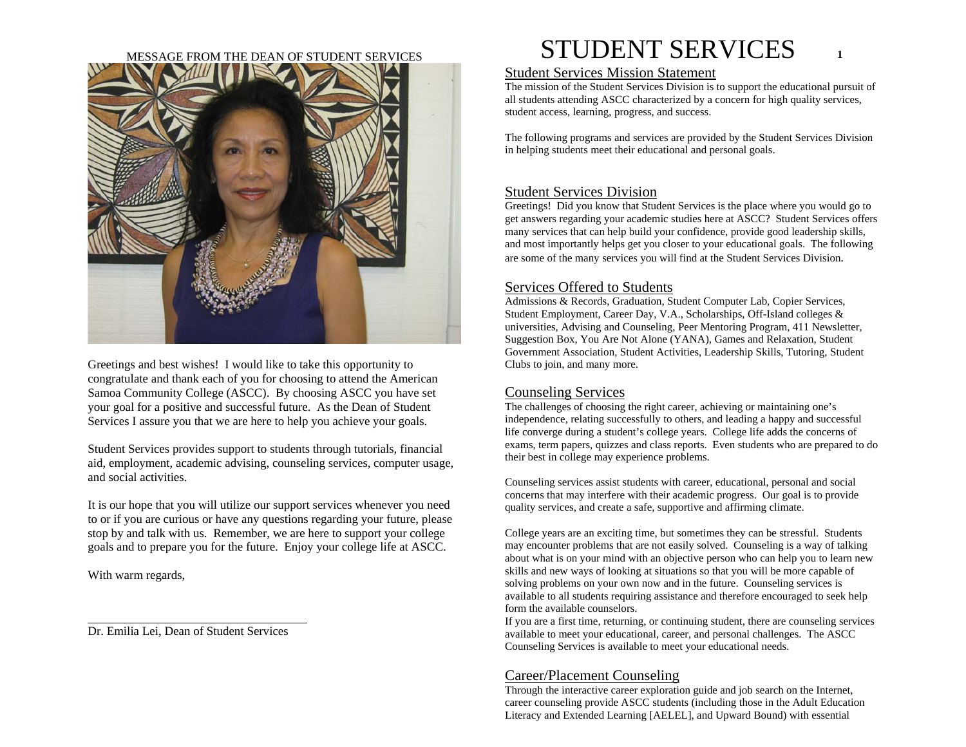#### MESSAGE FROM THE DEAN OF STUDENT SERVICES



Greetings and best wishes! I would like to take this opportunity to congratulate and thank each of you for choosing to attend the American Samoa Community College (ASCC). By choosing ASCC you have set your goal for a positive and successful future. As the Dean of Student Services I assure you that we are here to help you achieve your goals.

Student Services provides support to students through tutorials, financial aid, employment, academic advising, counseling services, computer usage, and social activities.

It is our hope that you will utilize our support services whenever you need to or if you are curious or have any questions regarding your future, please stop by and talk with us. Remember, we are here to support your college goals and to prepare you for the future. Enjoy your college life at ASCC.

With warm regards,

Dr. Emilia Lei, Dean of Student Services

# STUDENT SERVICES **1**

## Student Services Mission Statement

The mission of the Student Services Division is to support the educational pursuit of all students attending ASCC characterized by a concern for high quality services, student access, learning, progress, and success.

The following programs and services are provided by the Student Services Division in helping students meet their educational and personal goals.

## Student Services Division

Greetings! Did you know that Student Services is the place where you would go to get answers regarding your academic studies here at ASCC? Student Services offers many services that can help build your confidence, provide good leadership skills, and most importantly helps get you closer to your educational goals. The following are some of the many services you will find at the Student Services Division.

# Services Offered to Students

Admissions & Records, Graduation, Student Computer Lab, Copier Services, Student Employment, Career Day, V.A., Scholarships, Off-Island colleges & universities, Advising and Counseling, Peer Mentoring Program, 411 Newsletter, Suggestion Box, You Are Not Alone (YANA), Games and Relaxation, Student Government Association, Student Activities, Leadership Skills, Tutoring, Student Clubs to join, and many more.

# Counseling Services

The challenges of choosing the right career, achieving or maintaining one's independence, relating successfully to others, and leading a happy and successful life converge during a student's college years. College life adds the concerns of exams, term papers, quizzes and class reports. Even students who are prepared to do their best in college may experience problems.

Counseling services assist students with career, educational, personal and social concerns that may interfere with their academic progress. Our goal is to provide quality services, and create a safe, supportive and affirming climate.

College years are an exciting time, but sometimes they can be stressful. Students may encounter problems that are not easily solved. Counseling is a way of talking about what is on your mind with an objective person who can help you to learn new skills and new ways of looking at situations so that you will be more capable of solving problems on your own now and in the future. Counseling services is available to all students requiring assistance and therefore encouraged to seek help form the available counselors.

If you are a first time, returning, or continuing student, there are counseling services available to meet your educational, career, and personal challenges. The ASCC Counseling Services is available to meet your educational needs.

# Career/Placement Counseling

Through the interactive career exploration guide and job search on the Internet, career counseling provide ASCC students (including those in the Adult Education Literacy and Extended Learning [AELEL], and Upward Bound) with essential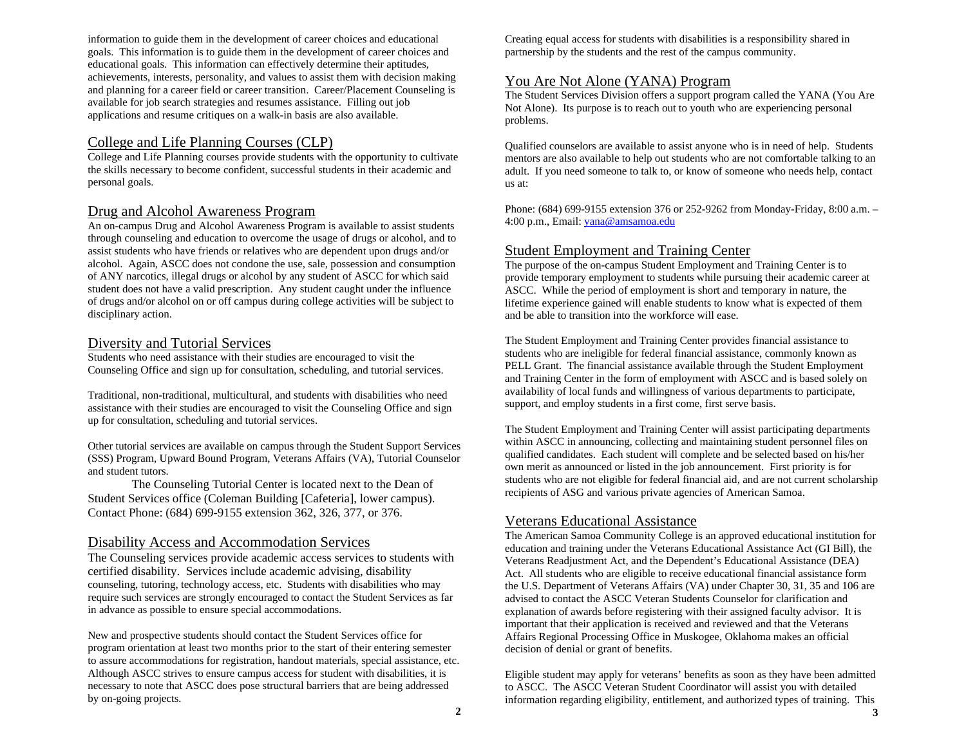information to guide them in the development of career choices and educational goals. This information is to guide them in the development of career choices and educational goals. This information can effectively determine their aptitudes, achievements, interests, personality, and values to assist them with decision making and planning for a career field or career transition. Career/Placement Counseling is available for job search strategies and resumes assistance. Filling out job applications and resume critiques on a walk-in basis are also available.

# College and Life Planning Courses (CLP)

College and Life Planning courses provide students with the opportunity to cultivate the skills necessary to become confident, successful students in their academic and personal goals.

# Drug and Alcohol Awareness Program

An on-campus Drug and Alcohol Awareness Program is available to assist students through counseling and education to overcome the usage of drugs or alcohol, and to assist students who have friends or relatives who are dependent upon drugs and/or alcohol. Again, ASCC does not condone the use, sale, possession and consumption of ANY narcotics, illegal drugs or alcohol by any student of ASCC for which said student does not have a valid prescription. Any student caught under the influence of drugs and/or alcohol on or off campus during college activities will be subject to disciplinary action.

## Diversity and Tutorial Services

Students who need assistance with their studies are encouraged to visit the Counseling Office and sign up for consultation, scheduling, and tutorial services.

Traditional, non-traditional, multicultural, and students with disabilities who need assistance with their studies are encouraged to visit the Counseling Office and sign up for consultation, scheduling and tutorial services.

Other tutorial services are available on campus through the Student Support Services (SSS) Program, Upward Bound Program, Veterans Affairs (VA), Tutorial Counselor and student tutors.

The Counseling Tutorial Center is located next to the Dean of Student Services office (Coleman Building [Cafeteria], lower campus). Contact Phone: (684) 699-9155 extension 362, 326, 377, or 376.

## Disability Access and Accommodation Services

The Counseling services provide academic access services to students with certified disability. Services include academic advising, disability counseling, tutoring, technology access, etc. Students with disabilities who may require such services are strongly encouraged to contact the Student Services as far in advance as possible to ensure special accommodations.

New and prospective students should contact the Student Services office for program orientation at least two months prior to the start of their entering semester to assure accommodations for registration, handout materials, special assistance, etc. Although ASCC strives to ensure campus access for student with disabilities, it is necessary to note that ASCC does pose structural barriers that are being addressed by on-going projects.

Creating equal access for students with disabilities is a responsibility shared in partnership by the students and the rest of the campus community.

## You Are Not Alone (YANA) Program

The Student Services Division offers a support program called the YANA (You Are Not Alone). Its purpose is to reach out to youth who are experiencing personal problems.

Qualified counselors are available to assist anyone who is in need of help. Students mentors are also available to help out students who are not comfortable talking to an adult. If you need someone to talk to, or know of someone who needs help, contact us at:

Phone: (684) 699-9155 extension 376 or 252-9262 from Monday-Friday, 8:00 a.m. – 4:00 p.m., Email: yana@amsamoa.edu

## Student Employment and Training Center

The purpose of the on-campus Student Employment and Training Center is to provide temporary employment to students while pursuing their academic career at ASCC. While the period of employment is short and temporary in nature, the lifetime experience gained will enable students to know what is expected of them and be able to transition into the workforce will ease.

The Student Employment and Training Center provides financial assistance to students who are ineligible for federal financial assistance, commonly known as PELL Grant. The financial assistance available through the Student Employment and Training Center in the form of employment with ASCC and is based solely on availability of local funds and willingness of various departments to participate, support, and employ students in a first come, first serve basis.

The Student Employment and Training Center will assist participating departments within ASCC in announcing, collecting and maintaining student personnel files on qualified candidates. Each student will complete and be selected based on his/her own merit as announced or listed in the job announcement. First priority is for students who are not eligible for federal financial aid, and are not current scholarship recipients of ASG and various private agencies of American Samoa.

## Veterans Educational Assistance

The American Samoa Community College is an approved educational institution for education and training under the Veterans Educational Assistance Act (GI Bill), the Veterans Readjustment Act, and the Dependent's Educational Assistance (DEA) Act. All students who are eligible to receive educational financial assistance form the U.S. Department of Veterans Affairs (VA) under Chapter 30, 31, 35 and 106 are advised to contact the ASCC Veteran Students Counselor for clarification and explanation of awards before registering with their assigned faculty advisor. It is important that their application is received and reviewed and that the Veterans Affairs Regional Processing Office in Muskogee, Oklahoma makes an official decision of denial or grant of benefits.

Eligible student may apply for veterans' benefits as soon as they have been admitted to ASCC. The ASCC Veteran Student Coordinator will assist you with detailed information regarding eligibility, entitlement, and authorized types of training. This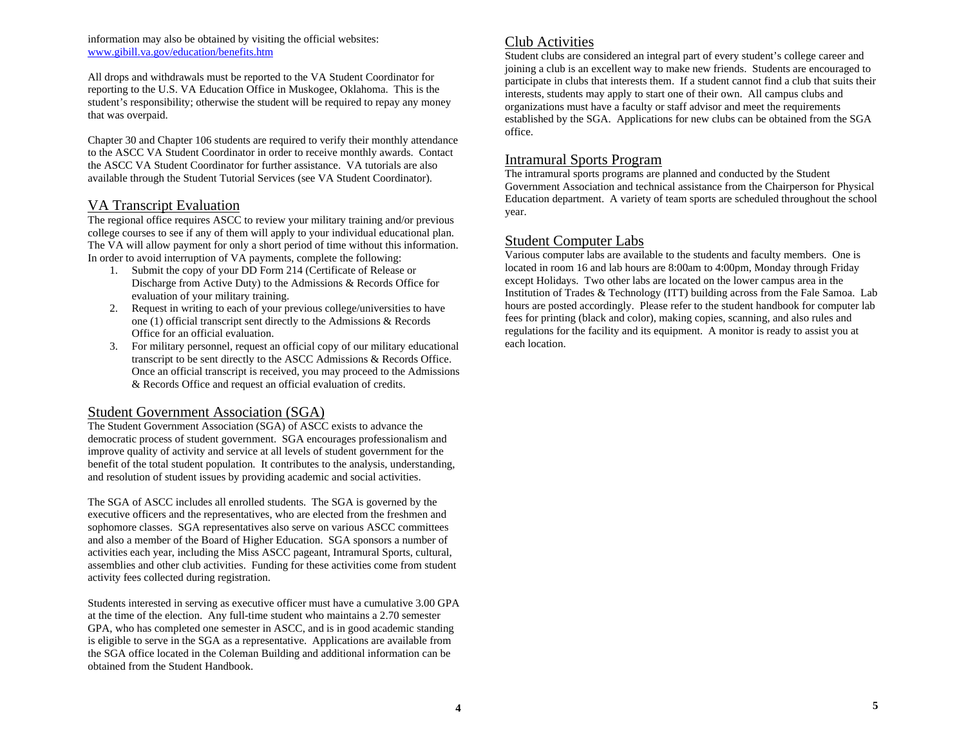#### information may also be obtained by visiting the official websites: www.gibill.va.gov/education/benefits.htm

All drops and withdrawals must be reported to the VA Student Coordinator for reporting to the U.S. VA Education Office in Muskogee, Oklahoma. This is the student's responsibility; otherwise the student will be required to repay any money that was overpaid.

Chapter 30 and Chapter 106 students are required to verify their monthly attendance to the ASCC VA Student Coordinator in order to receive monthly awards. Contact the ASCC VA Student Coordinator for further assistance. VA tutorials are also available through the Student Tutorial Services (see VA Student Coordinator).

## VA Transcript Evaluation

The regional office requires ASCC to review your military training and/or previous college courses to see if any of them will apply to your individual educational plan. The VA will allow payment for only a short period of time without this information. In order to avoid interruption of VA payments, complete the following:

- 1. Submit the copy of your DD Form 214 (Certificate of Release or Discharge from Active Duty) to the Admissions & Records Office for evaluation of your military training.
- 2. Request in writing to each of your previous college/universities to have one (1) official transcript sent directly to the Admissions & Records Office for an official evaluation.
- 3. For military personnel, request an official copy of our military educational transcript to be sent directly to the ASCC Admissions & Records Office. Once an official transcript is received, you may proceed to the Admissions & Records Office and request an official evaluation of credits.

## Student Government Association (SGA)

The Student Government Association (SGA) of ASCC exists to advance the democratic process of student government. SGA encourages professionalism and improve quality of activity and service at all levels of student government for the benefit of the total student population. It contributes to the analysis, understanding, and resolution of student issues by providing academic and social activities.

The SGA of ASCC includes all enrolled students. The SGA is governed by the executive officers and the representatives, who are elected from the freshmen and sophomore classes. SGA representatives also serve on various ASCC committees and also a member of the Board of Higher Education. SGA sponsors a number of activities each year, including the Miss ASCC pageant, Intramural Sports, cultural, assemblies and other club activities. Funding for these activities come from student activity fees collected during registration.

Students interested in serving as executive officer must have a cumulative 3.00 GPA at the time of the election. Any full-time student who maintains a 2.70 semester GPA, who has completed one semester in ASCC, and is in good academic standing is eligible to serve in the SGA as a representative. Applications are available from the SGA office located in the Coleman Building and additional information can be obtained from the Student Handbook.

## Club Activities

Student clubs are considered an integral part of every student's college career and joining a club is an excellent way to make new friends. Students are encouraged to participate in clubs that interests them. If a student cannot find a club that suits their interests, students may apply to start one of their own. All campus clubs and organizations must have a faculty or staff advisor and meet the requirements established by the SGA. Applications for new clubs can be obtained from the SGA office.

## Intramural Sports Program

The intramural sports programs are planned and conducted by the Student Government Association and technical assistance from the Chairperson for Physical Education department. A variety of team sports are scheduled throughout the school year.

## Student Computer Labs

Various computer labs are available to the students and faculty members. One is located in room 16 and lab hours are 8:00am to 4:00pm, Monday through Friday except Holidays. Two other labs are located on the lower campus area in the Institution of Trades & Technology (ITT) building across from the Fale Samoa. Lab hours are posted accordingly. Please refer to the student handbook for computer lab fees for printing (black and color), making copies, scanning, and also rules and regulations for the facility and its equipment. A monitor is ready to assist you at each location.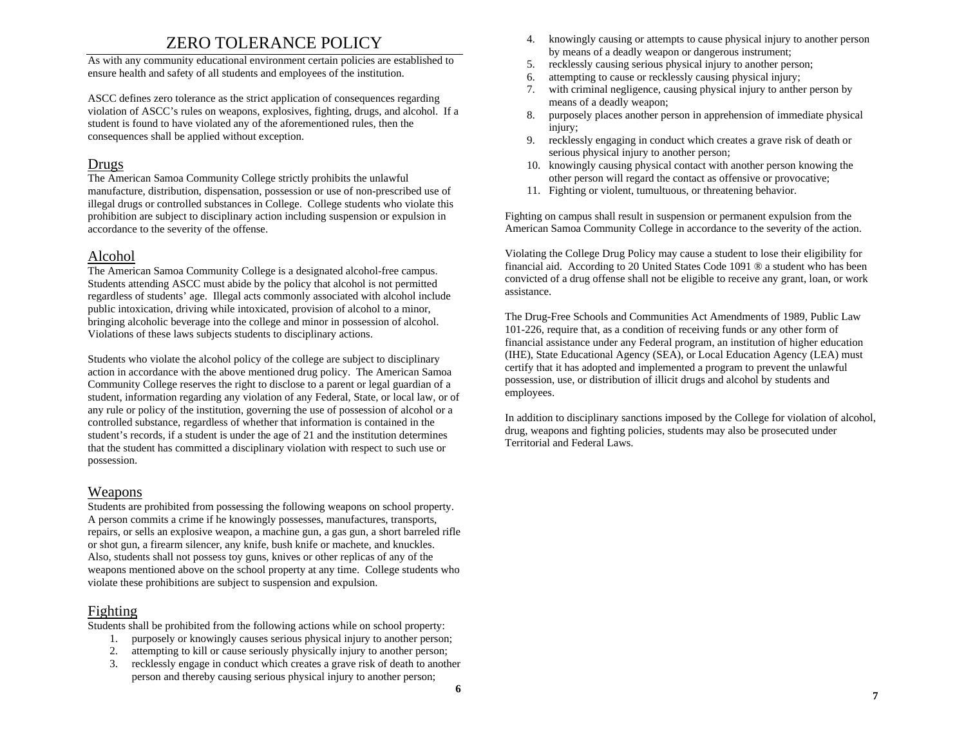# ZERO TOLERANCE POLICY

As with any community educational environment certain policies are established to ensure health and safety of all students and employees of the institution.

ASCC defines zero tolerance as the strict application of consequences regarding violation of ASCC's rules on weapons, explosives, fighting, drugs, and alcohol. If a student is found to have violated any of the aforementioned rules, then the consequences shall be applied without exception.

## Drugs

The American Samoa Community College strictly prohibits the unlawful manufacture, distribution, dispensation, possession or use of non-prescribed use of illegal drugs or controlled substances in College. College students who violate this prohibition are subject to disciplinary action including suspension or expulsion in accordance to the severity of the offense.

## Alcohol

The American Samoa Community College is a designated alcohol-free campus. Students attending ASCC must abide by the policy that alcohol is not permitted regardless of students' age. Illegal acts commonly associated with alcohol include public intoxication, driving while intoxicated, provision of alcohol to a minor, bringing alcoholic beverage into the college and minor in possession of alcohol. Violations of these laws subjects students to disciplinary actions.

Students who violate the alcohol policy of the college are subject to disciplinary action in accordance with the above mentioned drug policy. The American Samoa Community College reserves the right to disclose to a parent or legal guardian of a student, information regarding any violation of any Federal, State, or local law, or of any rule or policy of the institution, governing the use of possession of alcohol or a controlled substance, regardless of whether that information is contained in the student's records, if a student is under the age of 21 and the institution determines that the student has committed a disciplinary violation with respect to such use or possession.

## Weapons

Students are prohibited from possessing the following weapons on school property. A person commits a crime if he knowingly possesses, manufactures, transports, repairs, or sells an explosive weapon, a machine gun, a gas gun, a short barreled rifle or shot gun, a firearm silencer, any knife, bush knife or machete, and knuckles. Also, students shall not possess toy guns, knives or other replicas of any of the weapons mentioned above on the school property at any time. College students who violate these prohibitions are subject to suspension and expulsion.

## Fighting

Students shall be prohibited from the following actions while on school property:

- 1. purposely or knowingly causes serious physical injury to another person;
- 2. attempting to kill or cause seriously physically injury to another person;
- 3. recklessly engage in conduct which creates a grave risk of death to another person and thereby causing serious physical injury to another person;
- 4. knowingly causing or attempts to cause physical injury to another person by means of a deadly weapon or dangerous instrument;
- 5.recklessly causing serious physical injury to another person;
- 6.attempting to cause or recklessly causing physical injury;
- 7. with criminal negligence, causing physical injury to anther person by means of a deadly weapon;
- 8. purposely places another person in apprehension of immediate physical injury;
- 9. recklessly engaging in conduct which creates a grave risk of death or serious physical injury to another person;
- 10. knowingly causing physical contact with another person knowing the other person will regard the contact as offensive or provocative;
- 11. Fighting or violent, tumultuous, or threatening behavior.

Fighting on campus shall result in suspension or permanent expulsion from the American Samoa Community College in accordance to the severity of the action.

Violating the College Drug Policy may cause a student to lose their eligibility for financial aid. According to 20 United States Code 1091 ® a student who has been convicted of a drug offense shall not be eligible to receive any grant, loan, or work assistance.

The Drug-Free Schools and Communities Act Amendments of 1989, Public Law 101-226, require that, as a condition of receiving funds or any other form of financial assistance under any Federal program, an institution of higher education (IHE), State Educational Agency (SEA), or Local Education Agency (LEA) must certify that it has adopted and implemented a program to prevent the unlawful possession, use, or distribution of illicit drugs and alcohol by students and employees.

In addition to disciplinary sanctions imposed by the College for violation of alcohol, drug, weapons and fighting policies, students may also be prosecuted under Territorial and Federal Laws.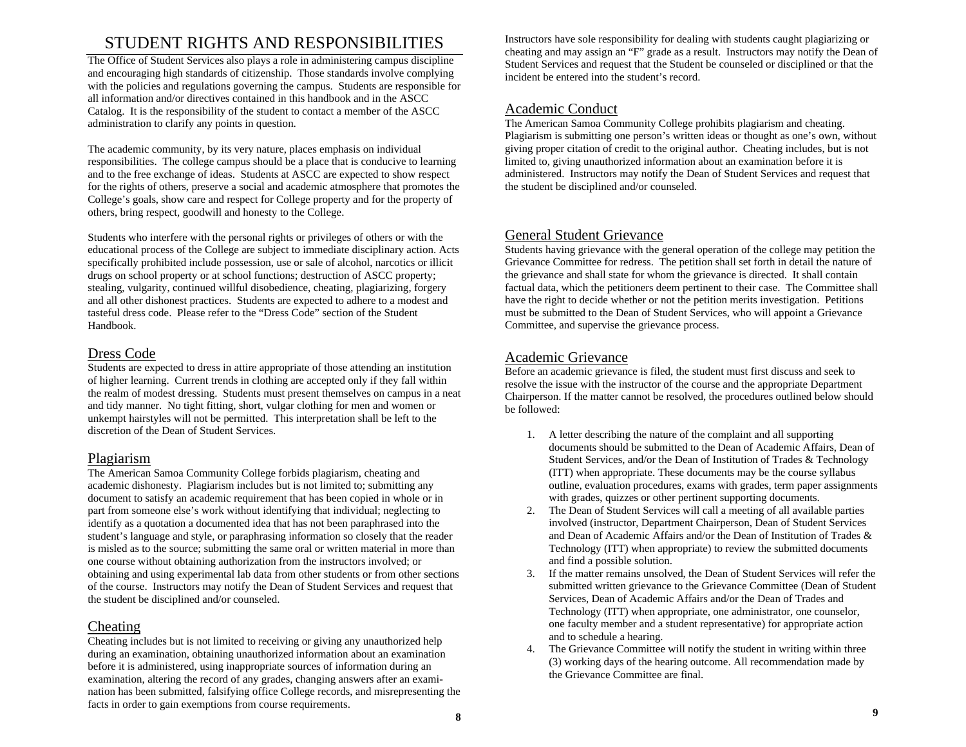# STUDENT RIGHTS AND RESPONSIBILITIES

The Office of Student Services also plays a role in administering campus discipline and encouraging high standards of citizenship. Those standards involve complying with the policies and regulations governing the campus. Students are responsible for all information and/or directives contained in this handbook and in the ASCC Catalog. It is the responsibility of the student to contact a member of the ASCC administration to clarify any points in question.

The academic community, by its very nature, places emphasis on individual responsibilities. The college campus should be a place that is conducive to learning and to the free exchange of ideas. Students at ASCC are expected to show respect for the rights of others, preserve a social and academic atmosphere that promotes the College's goals, show care and respect for College property and for the property of others, bring respect, goodwill and honesty to the College.

Students who interfere with the personal rights or privileges of others or with the educational process of the College are subject to immediate disciplinary action. Acts specifically prohibited include possession, use or sale of alcohol, narcotics or illicit drugs on school property or at school functions; destruction of ASCC property; stealing, vulgarity, continued willful disobedience, cheating, plagiarizing, forgery and all other dishonest practices. Students are expected to adhere to a modest and tasteful dress code. Please refer to the "Dress Code" section of the Student Handbook.

# Dress Code

Students are expected to dress in attire appropriate of those attending an institution of higher learning. Current trends in clothing are accepted only if they fall within the realm of modest dressing. Students must present themselves on campus in a neat and tidy manner. No tight fitting, short, vulgar clothing for men and women or unkempt hairstyles will not be permitted. This interpretation shall be left to the discretion of the Dean of Student Services.

# Plagiarism

The American Samoa Community College forbids plagiarism, cheating and academic dishonesty. Plagiarism includes but is not limited to; submitting any document to satisfy an academic requirement that has been copied in whole or in part from someone else's work without identifying that individual; neglecting to identify as a quotation a documented idea that has not been paraphrased into the student's language and style, or paraphrasing information so closely that the reader is misled as to the source; submitting the same oral or written material in more than one course without obtaining authorization from the instructors involved; or obtaining and using experimental lab data from other students or from other sections of the course. Instructors may notify the Dean of Student Services and request that the student be disciplined and/or counseled.

# Cheating

Cheating includes but is not limited to receiving or giving any unauthorized help during an examination, obtaining unauthorized information about an examination before it is administered, using inappropriate sources of information during an examination, altering the record of any grades, changing answers after an examination has been submitted, falsifying office College records, and misrepresenting the facts in order to gain exemptions from course requirements.

Instructors have sole responsibility for dealing with students caught plagiarizing or cheating and may assign an "F" grade as a result. Instructors may notify the Dean of Student Services and request that the Student be counseled or disciplined or that the incident be entered into the student's record.

# Academic Conduct

The American Samoa Community College prohibits plagiarism and cheating. Plagiarism is submitting one person's written ideas or thought as one's own, without giving proper citation of credit to the original author. Cheating includes, but is not limited to, giving unauthorized information about an examination before it is administered. Instructors may notify the Dean of Student Services and request that the student be disciplined and/or counseled.

# General Student Grievance

Students having grievance with the general operation of the college may petition the Grievance Committee for redress. The petition shall set forth in detail the nature of the grievance and shall state for whom the grievance is directed. It shall contain factual data, which the petitioners deem pertinent to their case. The Committee shall have the right to decide whether or not the petition merits investigation. Petitions must be submitted to the Dean of Student Services, who will appoint a Grievance Committee, and supervise the grievance process.

# Academic Grievance

Before an academic grievance is filed, the student must first discuss and seek to resolve the issue with the instructor of the course and the appropriate Department Chairperson. If the matter cannot be resolved, the procedures outlined below should be followed:

- 1. A letter describing the nature of the complaint and all supporting documents should be submitted to the Dean of Academic Affairs, Dean of Student Services, and/or the Dean of Institution of Trades & Technology (ITT) when appropriate. These documents may be the course syllabus outline, evaluation procedures, exams with grades, term paper assignments with grades, quizzes or other pertinent supporting documents.
- 2. The Dean of Student Services will call a meeting of all available parties involved (instructor, Department Chairperson, Dean of Student Services and Dean of Academic Affairs and/or the Dean of Institution of Trades & Technology (ITT) when appropriate) to review the submitted documents and find a possible solution.
- 3. If the matter remains unsolved, the Dean of Student Services will refer the submitted written grievance to the Grievance Committee (Dean of Student Services, Dean of Academic Affairs and/or the Dean of Trades and Technology (ITT) when appropriate, one administrator, one counselor, one faculty member and a student representative) for appropriate action and to schedule a hearing.
- 4. The Grievance Committee will notify the student in writing within three (3) working days of the hearing outcome. All recommendation made by the Grievance Committee are final.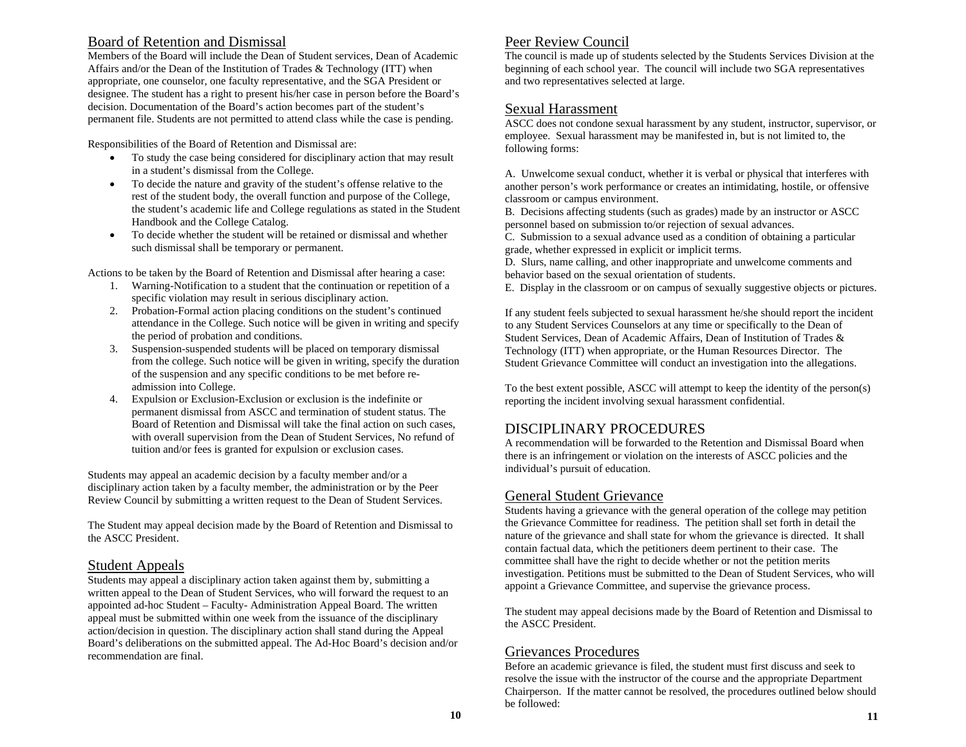# Board of Retention and Dismissal

Members of the Board will include the Dean of Student services, Dean of Academic Affairs and/or the Dean of the Institution of Trades & Technology (ITT) when appropriate, one counselor, one faculty representative, and the SGA President or designee. The student has a right to present his/her case in person before the Board's decision. Documentation of the Board's action becomes part of the student's permanent file. Students are not permitted to attend class while the case is pending.

Responsibilities of the Board of Retention and Dismissal are:

- • To study the case being considered for disciplinary action that may result in a student's dismissal from the College.
- To decide the nature and gravity of the student's offense relative to the rest of the student body, the overall function and purpose of the College, the student's academic life and College regulations as stated in the Student Handbook and the College Catalog.
- • To decide whether the student will be retained or dismissal and whether such dismissal shall be temporary or permanent.

Actions to be taken by the Board of Retention and Dismissal after hearing a case:

- 1. Warning-Notification to a student that the continuation or repetition of a specific violation may result in serious disciplinary action.
- 2. Probation-Formal action placing conditions on the student's continued attendance in the College. Such notice will be given in writing and specify the period of probation and conditions.
- 3. Suspension-suspended students will be placed on temporary dismissal from the college. Such notice will be given in writing, specify the duration of the suspension and any specific conditions to be met before readmission into College.
- 4. Expulsion or Exclusion-Exclusion or exclusion is the indefinite or permanent dismissal from ASCC and termination of student status. The Board of Retention and Dismissal will take the final action on such cases, with overall supervision from the Dean of Student Services, No refund of tuition and/or fees is granted for expulsion or exclusion cases.

Students may appeal an academic decision by a faculty member and/or a disciplinary action taken by a faculty member, the administration or by the Peer Review Council by submitting a written request to the Dean of Student Services.

The Student may appeal decision made by the Board of Retention and Dismissal to the ASCC President.

## Student Appeals

Students may appeal a disciplinary action taken against them by, submitting a written appeal to the Dean of Student Services, who will forward the request to an appointed ad-hoc Student – Faculty- Administration Appeal Board. The written appeal must be submitted within one week from the issuance of the disciplinary action/decision in question. The disciplinary action shall stand during the Appeal Board's deliberations on the submitted appeal. The Ad-Hoc Board's decision and/or recommendation are final.

# Peer Review Council

The council is made up of students selected by the Students Services Division at the beginning of each school year. The council will include two SGA representatives and two representatives selected at large.

## Sexual Harassment

ASCC does not condone sexual harassment by any student, instructor, supervisor, or employee. Sexual harassment may be manifested in, but is not limited to, the following forms:

A. Unwelcome sexual conduct, whether it is verbal or physical that interferes with another person's work performance or creates an intimidating, hostile, or offensive classroom or campus environment.

B. Decisions affecting students (such as grades) made by an instructor or ASCC personnel based on submission to/or rejection of sexual advances.

C. Submission to a sexual advance used as a condition of obtaining a particular grade, whether expressed in explicit or implicit terms.

D. Slurs, name calling, and other inappropriate and unwelcome comments and behavior based on the sexual orientation of students.

E. Display in the classroom or on campus of sexually suggestive objects or pictures.

If any student feels subjected to sexual harassment he/she should report the incident to any Student Services Counselors at any time or specifically to the Dean of Student Services, Dean of Academic Affairs, Dean of Institution of Trades & Technology (ITT) when appropriate, or the Human Resources Director. The Student Grievance Committee will conduct an investigation into the allegations.

To the best extent possible, ASCC will attempt to keep the identity of the person(s) reporting the incident involving sexual harassment confidential.

# DISCIPLINARY PROCEDURES

A recommendation will be forwarded to the Retention and Dismissal Board when there is an infringement or violation on the interests of ASCC policies and the individual's pursuit of education.

# General Student Grievance

Students having a grievance with the general operation of the college may petition the Grievance Committee for readiness. The petition shall set forth in detail the nature of the grievance and shall state for whom the grievance is directed. It shall contain factual data, which the petitioners deem pertinent to their case. The committee shall have the right to decide whether or not the petition merits investigation. Petitions must be submitted to the Dean of Student Services, who will appoint a Grievance Committee, and supervise the grievance process.

The student may appeal decisions made by the Board of Retention and Dismissal to the ASCC President.

# Grievances Procedures

Before an academic grievance is filed, the student must first discuss and seek to resolve the issue with the instructor of the course and the appropriate Department Chairperson. If the matter cannot be resolved, the procedures outlined below should be followed: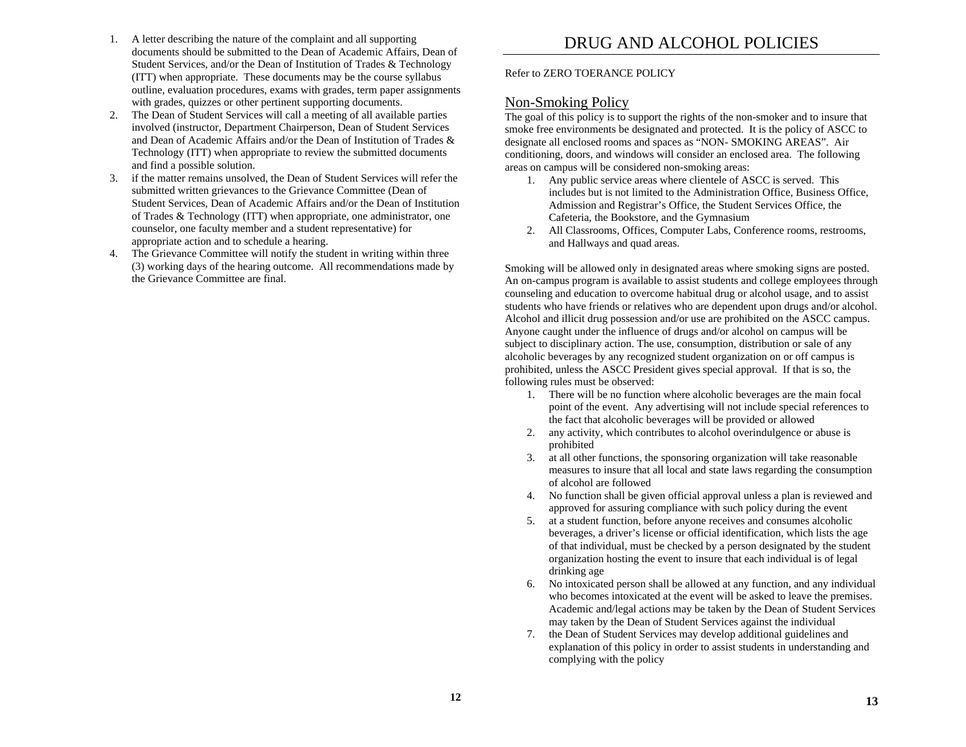- 1. A letter describing the nature of the complaint and all supporting documents should be submitted to the Dean of Academic Affairs, Dean of Student Services, and/or the Dean of Institution of Trades & Technology (ITT) when appropriate. These documents may be the course syllabus outline, evaluation procedures, exams with grades, term paper assignments with grades, quizzes or other pertinent supporting documents.
- 2. The Dean of Student Services will call a meeting of all available parties involved (instructor, Department Chairperson, Dean of Student Services and Dean of Academic Affairs and/or the Dean of Institution of Trades  $\&$ Technology (ITT) when appropriate to review the submitted documents and find a possible solution.
- 3. if the matter remains unsolved, the Dean of Student Services will refer the submitted written grievances to the Grievance Committee (Dean of Student Services, Dean of Academic Affairs and/or the Dean of Institution of Trades & Technology (ITT) when appropriate, one administrator, one counselor, one faculty member and a student representative) for appropriate action and to schedule a hearing.
- 4. The Grievance Committee will notify the student in writing within three (3) working days of the hearing outcome. All recommendations made by the Grievance Committee are final.

Refer to ZERO TOERANCE POLICY

# Non-Smoking Policy

The goal of this policy is to support the rights of the non-smoker and to insure that smoke free environments be designated and protected. It is the policy of ASCC to designate all enclosed rooms and spaces as "NON- SMOKING AREAS". Air conditioning, doors, and windows will consider an enclosed area. The following areas on campus will be considered non-smoking areas:

- 1. Any public service areas where clientele of ASCC is served. This includes but is not limited to the Administration Office, Business Office, Admission and Registrar's Office, the Student Services Office, the Cafeteria, the Bookstore, and the Gymnasium
- 2. All Classrooms, Offices, Computer Labs, Conference rooms, restrooms, and Hallways and quad areas.

Smoking will be allowed only in designated areas where smoking signs are posted. An on-campus program is available to assist students and college employees through counseling and education to overcome habitual drug or alcohol usage, and to assist students who have friends or relatives who are dependent upon drugs and/or alcohol. Alcohol and illicit drug possession and/or use are prohibited on the ASCC campus. Anyone caught under the influence of drugs and/or alcohol on campus will be subject to disciplinary action. The use, consumption, distribution or sale of any alcoholic beverages by any recognized student organization on or off campus is prohibited, unless the ASCC President gives special approval. If that is so, the following rules must be observed:

- 1. There will be no function where alcoholic beverages are the main focal point of the event. Any advertising will not include special references to the fact that alcoholic beverages will be provided or allowed
- 2. any activity, which contributes to alcohol overindulgence or abuse is prohibited
- 3. at all other functions, the sponsoring organization will take reasonable measures to insure that all local and state laws regarding the consumption of alcohol are followed
- 4. No function shall be given official approval unless a plan is reviewed and approved for assuring compliance with such policy during the event
- 5. at a student function, before anyone receives and consumes alcoholic beverages, a driver's license or official identification, which lists the age of that individual, must be checked by a person designated by the student organization hosting the event to insure that each individual is of legal drinking age
- 6. No intoxicated person shall be allowed at any function, and any individual who becomes intoxicated at the event will be asked to leave the premises. Academic and/legal actions may be taken by the Dean of Student Services may taken by the Dean of Student Services against the individual
- 7. the Dean of Student Services may develop additional guidelines and explanation of this policy in order to assist students in understanding and complying with the policy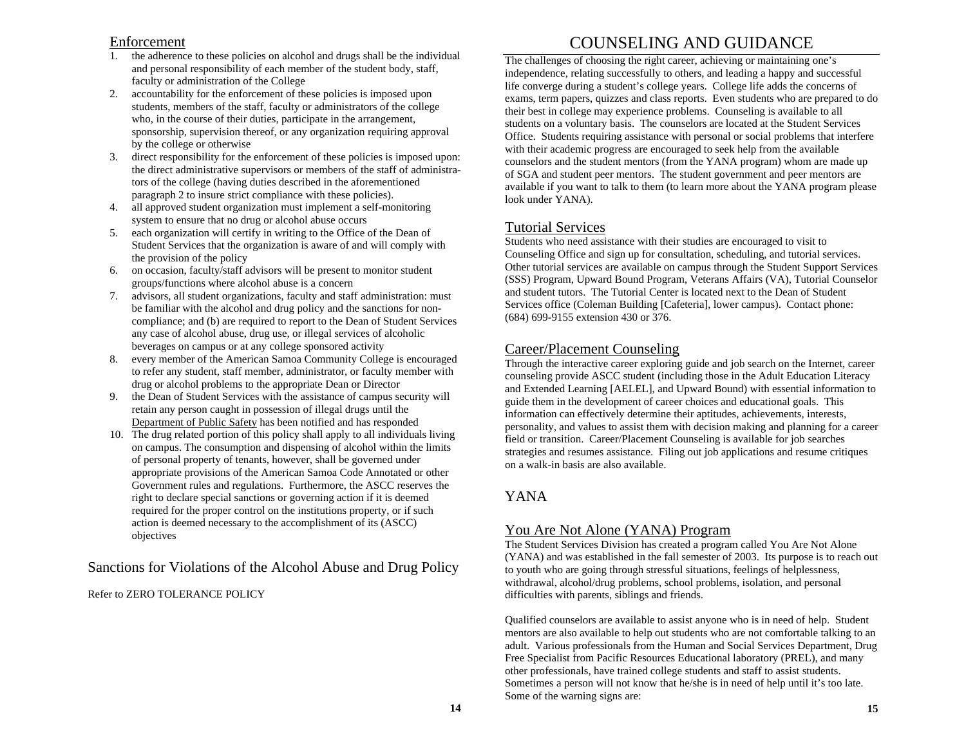## Enforcement

- 1. the adherence to these policies on alcohol and drugs shall be the individual and personal responsibility of each member of the student body, staff, faculty or administration of the College
- 2. accountability for the enforcement of these policies is imposed upon students, members of the staff, faculty or administrators of the college who, in the course of their duties, participate in the arrangement, sponsorship, supervision thereof, or any organization requiring approval by the college or otherwise
- 3. direct responsibility for the enforcement of these policies is imposed upon: the direct administrative supervisors or members of the staff of administrators of the college (having duties described in the aforementioned paragraph 2 to insure strict compliance with these policies).
- 4. all approved student organization must implement a self-monitoring system to ensure that no drug or alcohol abuse occurs
- 5. each organization will certify in writing to the Office of the Dean of Student Services that the organization is aware of and will comply with the provision of the policy
- 6. on occasion, faculty/staff advisors will be present to monitor student groups/functions where alcohol abuse is a concern
- 7. advisors, all student organizations, faculty and staff administration: must be familiar with the alcohol and drug policy and the sanctions for noncompliance; and (b) are required to report to the Dean of Student Services any case of alcohol abuse, drug use, or illegal services of alcoholic beverages on campus or at any college sponsored activity
- 8. every member of the American Samoa Community College is encouraged to refer any student, staff member, administrator, or faculty member with drug or alcohol problems to the appropriate Dean or Director
- 9. the Dean of Student Services with the assistance of campus security will retain any person caught in possession of illegal drugs until the Department of Public Safety has been notified and has responded
- 10. The drug related portion of this policy shall apply to all individuals living on campus. The consumption and dispensing of alcohol within the limits of personal property of tenants, however, shall be governed under appropriate provisions of the American Samoa Code Annotated or other Government rules and regulations. Furthermore, the ASCC reserves the right to declare special sanctions or governing action if it is deemed required for the proper control on the institutions property, or if such action is deemed necessary to the accomplishment of its (ASCC) objectives

# Sanctions for Violations of the Alcohol Abuse and Drug Policy

Refer to ZERO TOLERANCE POLICY

# COUNSELING AND GUIDANCE

The challenges of choosing the right career, achieving or maintaining one's independence, relating successfully to others, and leading a happy and successful life converge during a student's college years. College life adds the concerns of exams, term papers, quizzes and class reports. Even students who are prepared to do their best in college may experience problems. Counseling is available to all students on a voluntary basis. The counselors are located at the Student Services Office. Students requiring assistance with personal or social problems that interfere with their academic progress are encouraged to seek help from the available counselors and the student mentors (from the YANA program) whom are made up of SGA and student peer mentors. The student government and peer mentors are available if you want to talk to them (to learn more about the YANA program please look under YANA).

# Tutorial Services

Students who need assistance with their studies are encouraged to visit to Counseling Office and sign up for consultation, scheduling, and tutorial services. Other tutorial services are available on campus through the Student Support Services (SSS) Program, Upward Bound Program, Veterans Affairs (VA), Tutorial Counselor and student tutors. The Tutorial Center is located next to the Dean of Student Services office (Coleman Building [Cafeteria], lower campus). Contact phone: (684) 699-9155 extension 430 or 376.

# Career/Placement Counseling

Through the interactive career exploring guide and job search on the Internet, career counseling provide ASCC student (including those in the Adult Education Literacy and Extended Learning [AELEL], and Upward Bound) with essential information to guide them in the development of career choices and educational goals. This information can effectively determine their aptitudes, achievements, interests, personality, and values to assist them with decision making and planning for a career field or transition. Career/Placement Counseling is available for job searches strategies and resumes assistance. Filing out job applications and resume critiques on a walk-in basis are also available.

# YANA

# You Are Not Alone (YANA) Program

The Student Services Division has created a program called You Are Not Alone (YANA) and was established in the fall semester of 2003. Its purpose is to reach out to youth who are going through stressful situations, feelings of helplessness, withdrawal, alcohol/drug problems, school problems, isolation, and personal difficulties with parents, siblings and friends.

Qualified counselors are available to assist anyone who is in need of help. Student mentors are also available to help out students who are not comfortable talking to an adult. Various professionals from the Human and Social Services Department, Drug Free Specialist from Pacific Resources Educational laboratory (PREL), and many other professionals, have trained college students and staff to assist students. Sometimes a person will not know that he/she is in need of help until it's too late. Some of the warning signs are: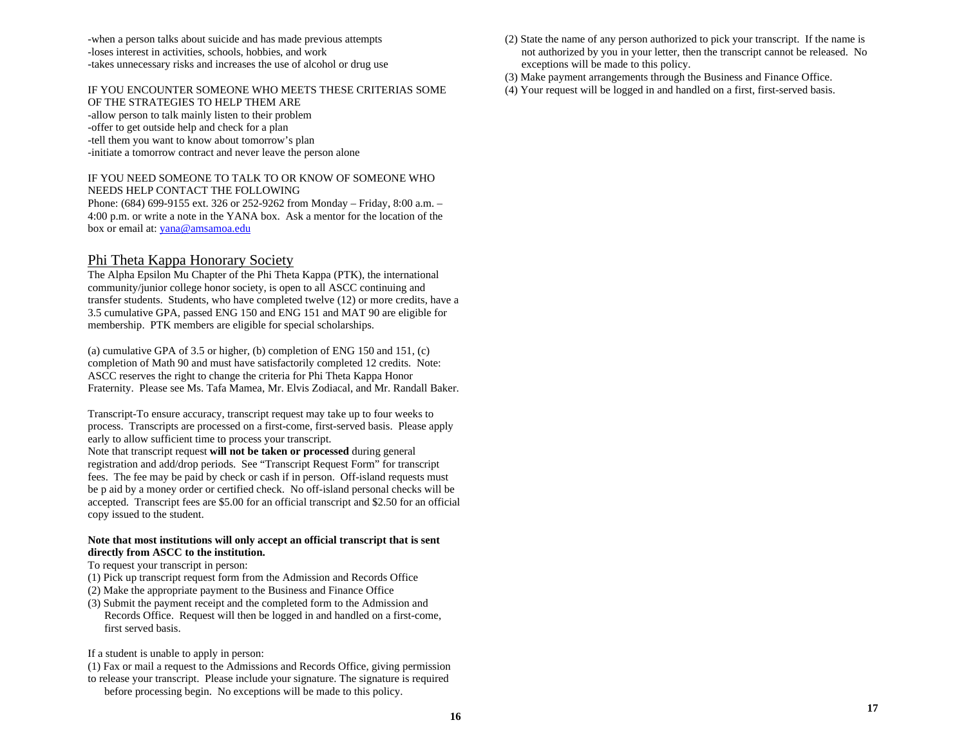-when a person talks about suicide and has made previous attempts -loses interest in activities, schools, hobbies, and work -takes unnecessary risks and increases the use of alcohol or drug use

#### IF YOU ENCOUNTER SOMEONE WHO MEETS THESE CRITERIAS SOME OF THE STRATEGIES TO HELP THEM ARE -allow person to talk mainly listen to their problem -offer to get outside help and check for a plan -tell them you want to know about tomorrow's plan

-initiate a tomorrow contract and never leave the person alone

#### IF YOU NEED SOMEONE TO TALK TO OR KNOW OF SOMEONE WHO NEEDS HELP CONTACT THE FOLLOWING

Phone: (684) 699-9155 ext. 326 or 252-9262 from Monday – Friday, 8:00 a.m. – 4:00 p.m. or write a note in the YANA box. Ask a mentor for the location of the box or email at: yana@amsamoa.edu

# Phi Theta Kappa Honorary Society

The Alpha Epsilon Mu Chapter of the Phi Theta Kappa (PTK), the international community/junior college honor society, is open to all ASCC continuing and transfer students. Students, who have completed twelve (12) or more credits, have a 3.5 cumulative GPA, passed ENG 150 and ENG 151 and MAT 90 are eligible for membership. PTK members are eligible for special scholarships.

(a) cumulative GPA of 3.5 or higher, (b) completion of ENG 150 and 151, (c) completion of Math 90 and must have satisfactorily completed 12 credits. Note: ASCC reserves the right to change the criteria for Phi Theta Kappa Honor Fraternity. Please see Ms. Tafa Mamea, Mr. Elvis Zodiacal, and Mr. Randall Baker.

Transcript-To ensure accuracy, transcript request may take up to four weeks to process. Transcripts are processed on a first-come, first-served basis. Please apply early to allow sufficient time to process your transcript.

Note that transcript request **will not be taken or processed** during general registration and add/drop periods. See "Transcript Request Form" for transcript fees. The fee may be paid by check or cash if in person. Off-island requests must be p aid by a money order or certified check. No off-island personal checks will be accepted. Transcript fees are \$5.00 for an official transcript and \$2.50 for an official copy issued to the student.

#### **Note that most institutions will only accept an official transcript that is sent directly from ASCC to the institution.**

- To request your transcript in person:
- (1) Pick up transcript request form from the Admission and Records Office
- (2) Make the appropriate payment to the Business and Finance Office
- (3) Submit the payment receipt and the completed form to the Admission and Records Office. Request will then be logged in and handled on a first-come, first served basis.
- If a student is unable to apply in person:
- (1) Fax or mail a request to the Admissions and Records Office, giving permission
- to release your transcript. Please include your signature. The signature is required before processing begin. No exceptions will be made to this policy.
- (2) State the name of any person authorized to pick your transcript. If the name is not authorized by you in your letter, then the transcript cannot be released. No exceptions will be made to this policy.
- (3) Make payment arrangements through the Business and Finance Office.
- (4) Your request will be logged in and handled on a first, first-served basis.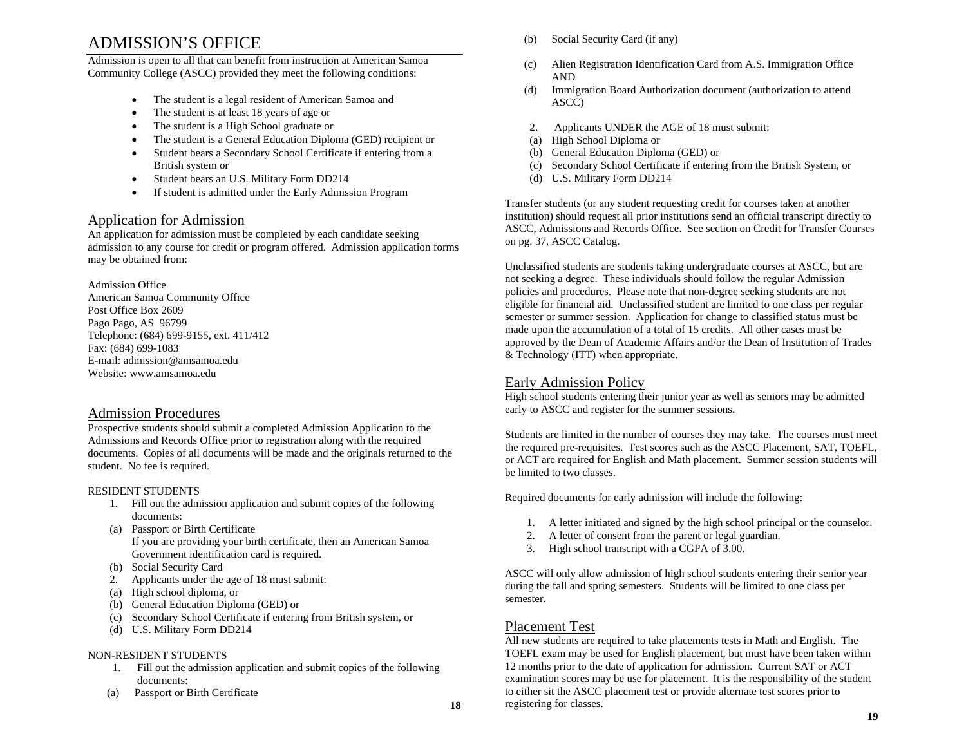# ADMISSION'S OFFICE

Admission is open to all that can benefit from instruction at American Samoa Community College (ASCC) provided they meet the following conditions:

- •The student is a legal resident of American Samoa and
- •The student is at least 18 years of age or
- •The student is a High School graduate or
- •The student is a General Education Diploma (GED) recipient or
- • Student bears a Secondary School Certificate if entering from a British system or
- •Student bears an U.S. Military Form DD214
- •If student is admitted under the Early Admission Program

## Application for Admission

An application for admission must be completed by each candidate seeking admission to any course for credit or program offered. Admission application forms may be obtained from:

Admission Office American Samoa Community Office Post Office Box 2609 Pago Pago, AS 96799 Telephone: (684) 699-9155, ext. 411/412 Fax: (684) 699-1083 E-mail: admission@amsamoa.edu Website: www.amsamoa.edu

## Admission Procedures

Prospective students should submit a completed Admission Application to the Admissions and Records Office prior to registration along with the required documents. Copies of all documents will be made and the originals returned to the student. No fee is required.

### RESIDENT STUDENTS

- 1. Fill out the admission application and submit copies of the following documents:
- (a) Passport or Birth Certificate If you are providing your birth certificate, then an American Samoa Government identification card is required.
- (b) Social Security Card
- 2. Applicants under the age of 18 must submit:
- (a) High school diploma, or
- (b) General Education Diploma (GED) or
- (c) Secondary School Certificate if entering from British system, or
- (d) U.S. Military Form DD214

#### NON-RESIDENT STUDENTS

- 1. Fill out the admission application and submit copies of the following documents:
- (a) Passport or Birth Certificate
- (b) Social Security Card (if any)
- (c) Alien Registration Identification Card from A.S. Immigration Office AND
- (d) Immigration Board Authorization document (authorization to attend ASCC)
- 2.Applicants UNDER the AGE of 18 must submit:
- (a) High School Diploma or
- (b) General Education Diploma (GED) or
- (c) Secondary School Certificate if entering from the British System, or
- (d) U.S. Military Form DD214

Transfer students (or any student requesting credit for courses taken at another institution) should request all prior institutions send an official transcript directly to ASCC, Admissions and Records Office. See section on Credit for Transfer Courses on pg. 37, ASCC Catalog.

Unclassified students are students taking undergraduate courses at ASCC, but are not seeking a degree. These individuals should follow the regular Admission policies and procedures. Please note that non-degree seeking students are not eligible for financial aid. Unclassified student are limited to one class per regular semester or summer session. Application for change to classified status must be made upon the accumulation of a total of 15 credits. All other cases must be approved by the Dean of Academic Affairs and/or the Dean of Institution of Trades & Technology (ITT) when appropriate.

# Early Admission Policy

High school students entering their junior year as well as seniors may be admitted early to ASCC and register for the summer sessions.

Students are limited in the number of courses they may take. The courses must meet the required pre-requisites. Test scores such as the ASCC Placement, SAT, TOEFL, or ACT are required for English and Math placement. Summer session students will be limited to two classes.

Required documents for early admission will include the following:

- 1. A letter initiated and signed by the high school principal or the counselor.
- 2.A letter of consent from the parent or legal guardian.
- 3.High school transcript with a CGPA of 3.00.

ASCC will only allow admission of high school students entering their senior year during the fall and spring semesters. Students will be limited to one class per semester.

# Placement Test

All new students are required to take placements tests in Math and English. The TOEFL exam may be used for English placement, but must have been taken within 12 months prior to the date of application for admission. Current SAT or ACT examination scores may be use for placement. It is the responsibility of the student to either sit the ASCC placement test or provide alternate test scores prior to registering for classes.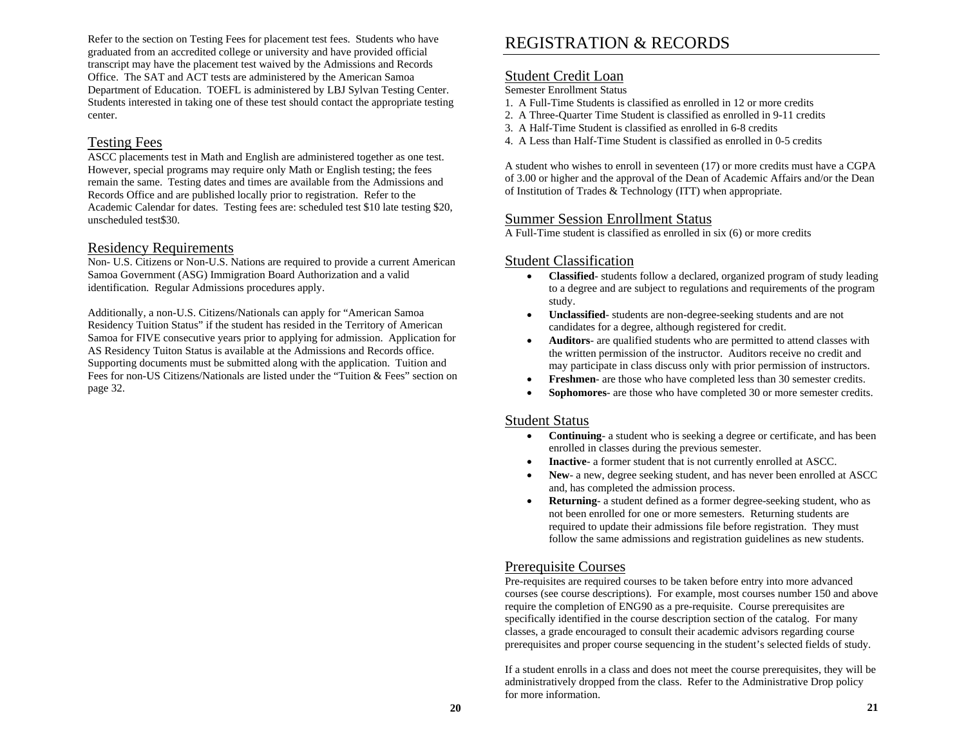Refer to the section on Testing Fees for placement test fees. Students who have graduated from an accredited college or university and have provided official transcript may have the placement test waived by the Admissions and Records Office. The SAT and ACT tests are administered by the American Samoa Department of Education. TOEFL is administered by LBJ Sylvan Testing Center. Students interested in taking one of these test should contact the appropriate testing center.

# Testing Fees

ASCC placements test in Math and English are administered together as one test. However, special programs may require only Math or English testing; the fees remain the same. Testing dates and times are available from the Admissions and Records Office and are published locally prior to registration. Refer to the Academic Calendar for dates. Testing fees are: scheduled test \$10 late testing \$20, unscheduled test\$30.

## Residency Requirements

Non- U.S. Citizens or Non-U.S. Nations are required to provide a current American Samoa Government (ASG) Immigration Board Authorization and a valid identification. Regular Admissions procedures apply.

Additionally, a non-U.S. Citizens/Nationals can apply for "American Samoa Residency Tuition Status" if the student has resided in the Territory of American Samoa for FIVE consecutive years prior to applying for admission. Application for AS Residency Tuiton Status is available at the Admissions and Records office. Supporting documents must be submitted along with the application. Tuition and Fees for non-US Citizens/Nationals are listed under the "Tuition & Fees" section on page 32.

# REGISTRATION & RECORDS

## Student Credit Loan

#### Semester Enrollment Status

- 1. A Full-Time Students is classified as enrolled in 12 or more credits
- 2. A Three-Quarter Time Student is classified as enrolled in 9-11 credits
- 3. A Half-Time Student is classified as enrolled in 6-8 credits
- 4. A Less than Half-Time Student is classified as enrolled in 0-5 credits

A student who wishes to enroll in seventeen (17) or more credits must have a CGPA of 3.00 or higher and the approval of the Dean of Academic Affairs and/or the Dean of Institution of Trades & Technology (ITT) when appropriate.

## Summer Session Enrollment Status

A Full-Time student is classified as enrolled in six (6) or more credits

# Student Classification

- • **Classified**- students follow a declared, organized program of study leading to a degree and are subject to regulations and requirements of the program study.
- • **Unclassified**- students are non-degree-seeking students and are not candidates for a degree, although registered for credit.
- • **Auditors**- are qualified students who are permitted to attend classes with the written permission of the instructor. Auditors receive no credit and may participate in class discuss only with prior permission of instructors.
- •**Freshmen**- are those who have completed less than 30 semester credits.
- •**Sophomores**- are those who have completed 30 or more semester credits.

### Student Status

- • **Continuing**- a student who is seeking a degree or certificate, and has been enrolled in classes during the previous semester.
- •**Inactive**- a former student that is not currently enrolled at ASCC.
- • **New**- a new, degree seeking student, and has never been enrolled at ASCC and, has completed the admission process.
- • **Returning**- a student defined as a former degree-seeking student, who as not been enrolled for one or more semesters. Returning students are required to update their admissions file before registration. They must follow the same admissions and registration guidelines as new students.

# Prerequisite Courses

Pre-requisites are required courses to be taken before entry into more advanced courses (see course descriptions). For example, most courses number 150 and above require the completion of ENG90 as a pre-requisite. Course prerequisites are specifically identified in the course description section of the catalog. For many classes, a grade encouraged to consult their academic advisors regarding course prerequisites and proper course sequencing in the student's selected fields of study.

If a student enrolls in a class and does not meet the course prerequisites, they will be administratively dropped from the class. Refer to the Administrative Drop policy for more information.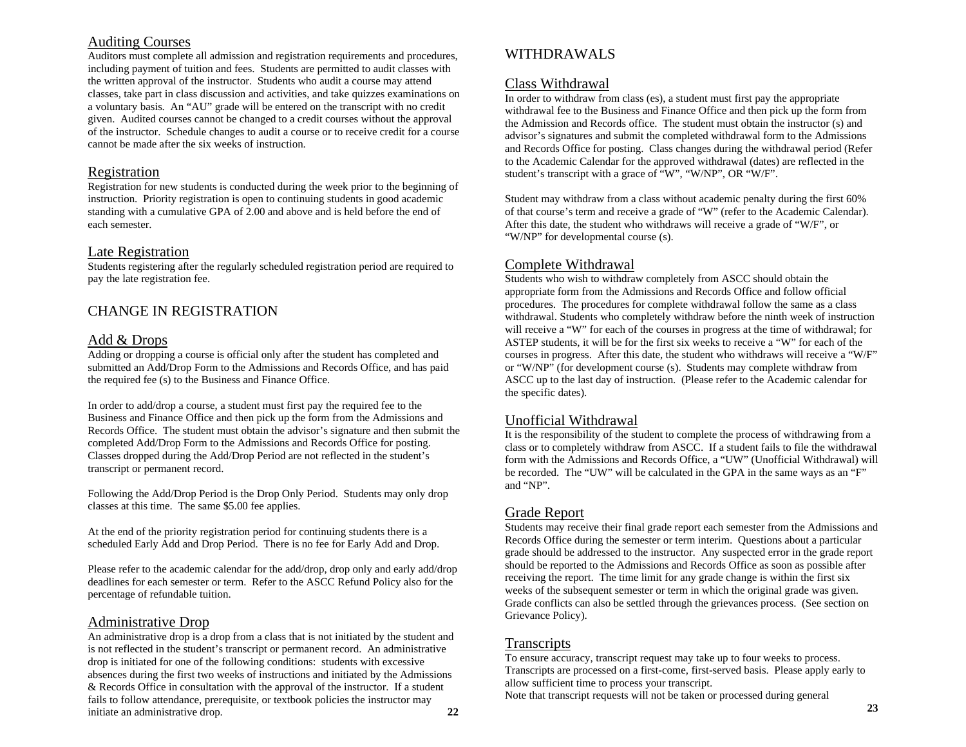# Auditing Courses

Auditors must complete all admission and registration requirements and procedures, including payment of tuition and fees. Students are permitted to audit classes with the written approval of the instructor. Students who audit a course may attend classes, take part in class discussion and activities, and take quizzes examinations on a voluntary basis. An "AU" grade will be entered on the transcript with no credit given. Audited courses cannot be changed to a credit courses without the approval of the instructor. Schedule changes to audit a course or to receive credit for a course cannot be made after the six weeks of instruction.

## Registration

Registration for new students is conducted during the week prior to the beginning of instruction. Priority registration is open to continuing students in good academic standing with a cumulative GPA of 2.00 and above and is held before the end of each semester.

# Late Registration

Students registering after the regularly scheduled registration period are required to pay the late registration fee.

# CHANGE IN REGISTRATION

# Add & Drops

Adding or dropping a course is official only after the student has completed and submitted an Add/Drop Form to the Admissions and Records Office, and has paid the required fee (s) to the Business and Finance Office.

In order to add/drop a course, a student must first pay the required fee to the Business and Finance Office and then pick up the form from the Admissions and Records Office. The student must obtain the advisor's signature and then submit the completed Add/Drop Form to the Admissions and Records Office for posting. Classes dropped during the Add/Drop Period are not reflected in the student's transcript or permanent record.

Following the Add/Drop Period is the Drop Only Period. Students may only drop classes at this time. The same \$5.00 fee applies.

At the end of the priority registration period for continuing students there is a scheduled Early Add and Drop Period. There is no fee for Early Add and Drop.

Please refer to the academic calendar for the add/drop, drop only and early add/drop deadlines for each semester or term. Refer to the ASCC Refund Policy also for the percentage of refundable tuition.

## Administrative Drop

An administrative drop is a drop from a class that is not initiated by the student and is not reflected in the student's transcript or permanent record. An administrative drop is initiated for one of the following conditions: students with excessive absences during the first two weeks of instructions and initiated by the Admissions & Records Office in consultation with the approval of the instructor. If a student fails to follow attendance, prerequisite, or textbook policies the instructor may initiate an administrative drop. **22** 

# WITHDRAWALS

# Class Withdrawal

In order to withdraw from class (es), a student must first pay the appropriate withdrawal fee to the Business and Finance Office and then pick up the form from the Admission and Records office. The student must obtain the instructor (s) and advisor's signatures and submit the completed withdrawal form to the Admissions and Records Office for posting. Class changes during the withdrawal period (Refer to the Academic Calendar for the approved withdrawal (dates) are reflected in the student's transcript with a grace of "W", "W/NP", OR "W/F".

Student may withdraw from a class without academic penalty during the first 60% of that course's term and receive a grade of "W" (refer to the Academic Calendar). After this date, the student who withdraws will receive a grade of "W/F", or "W/NP" for developmental course (s).

# Complete Withdrawal

Students who wish to withdraw completely from ASCC should obtain the appropriate form from the Admissions and Records Office and follow official procedures. The procedures for complete withdrawal follow the same as a class withdrawal. Students who completely withdraw before the ninth week of instruction will receive a "W" for each of the courses in progress at the time of withdrawal; for ASTEP students, it will be for the first six weeks to receive a "W" for each of the courses in progress. After this date, the student who withdraws will receive a "W/F" or "W/NP" (for development course (s). Students may complete withdraw from ASCC up to the last day of instruction. (Please refer to the Academic calendar for the specific dates).

## Unofficial Withdrawal

It is the responsibility of the student to complete the process of withdrawing from a class or to completely withdraw from ASCC. If a student fails to file the withdrawal form with the Admissions and Records Office, a "UW" (Unofficial Withdrawal) will be recorded. The "UW" will be calculated in the GPA in the same ways as an "F" and "NP".

# Grade Report

Students may receive their final grade report each semester from the Admissions and Records Office during the semester or term interim. Questions about a particular grade should be addressed to the instructor. Any suspected error in the grade report should be reported to the Admissions and Records Office as soon as possible after receiving the report. The time limit for any grade change is within the first six weeks of the subsequent semester or term in which the original grade was given. Grade conflicts can also be settled through the grievances process. (See section on Grievance Policy).

# **Transcripts**

To ensure accuracy, transcript request may take up to four weeks to process. Transcripts are processed on a first-come, first-served basis. Please apply early to allow sufficient time to process your transcript. Note that transcript requests will not be taken or processed during general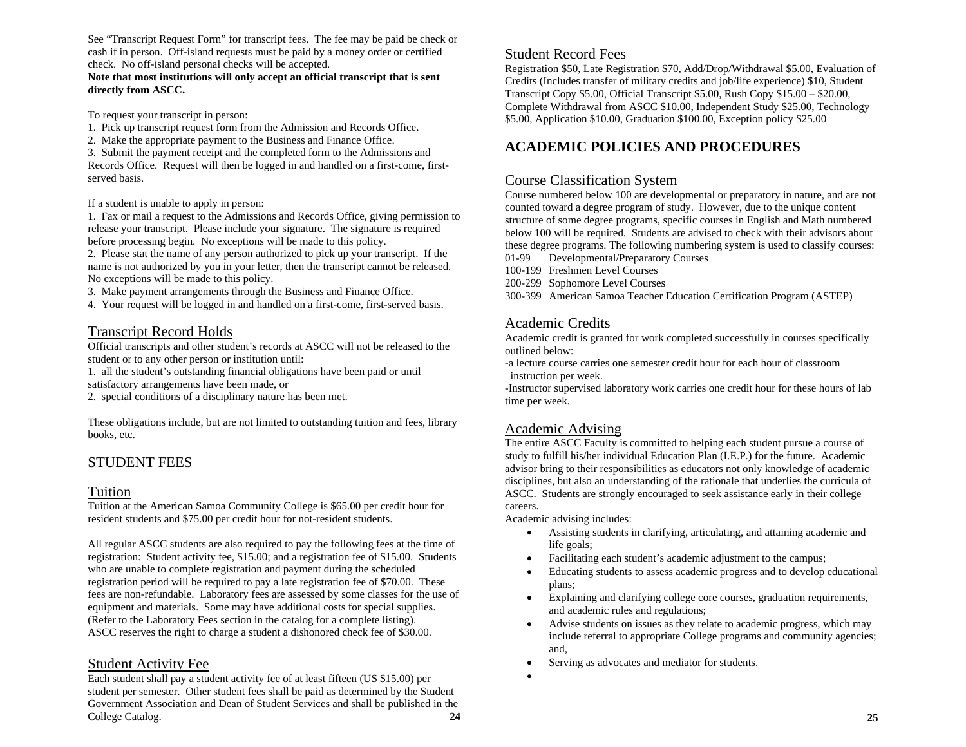See "Transcript Request Form" for transcript fees. The fee may be paid be check or cash if in person. Off-island requests must be paid by a money order or certified check. No off-island personal checks will be accepted.

#### **Note that most institutions will only accept an official transcript that is sent directly from ASCC.**

To request your transcript in person:

- 1. Pick up transcript request form from the Admission and Records Office.
- 2. Make the appropriate payment to the Business and Finance Office.

3. Submit the payment receipt and the completed form to the Admissions and Records Office. Request will then be logged in and handled on a first-come, firstserved basis.

#### If a student is unable to apply in person:

1. Fax or mail a request to the Admissions and Records Office, giving permission to release your transcript. Please include your signature. The signature is required before processing begin. No exceptions will be made to this policy.

2. Please stat the name of any person authorized to pick up your transcript. If the name is not authorized by you in your letter, then the transcript cannot be released. No exceptions will be made to this policy.

- 3. Make payment arrangements through the Business and Finance Office.
- 4. Your request will be logged in and handled on a first-come, first-served basis.

## Transcript Record Holds

Official transcripts and other student's records at ASCC will not be released to the student or to any other person or institution until:

1. all the student's outstanding financial obligations have been paid or until satisfactory arrangements have been made, or

2. special conditions of a disciplinary nature has been met.

These obligations include, but are not limited to outstanding tuition and fees, library books, etc.

# STUDENT FEES

## Tuition

Tuition at the American Samoa Community College is \$65.00 per credit hour for resident students and \$75.00 per credit hour for not-resident students.

All regular ASCC students are also required to pay the following fees at the time of registration: Student activity fee, \$15.00; and a registration fee of \$15.00. Students who are unable to complete registration and payment during the scheduled registration period will be required to pay a late registration fee of \$70.00. These fees are non-refundable. Laboratory fees are assessed by some classes for the use of equipment and materials. Some may have additional costs for special supplies. (Refer to the Laboratory Fees section in the catalog for a complete listing). ASCC reserves the right to charge a student a dishonored check fee of \$30.00.

# Student Activity Fee

Each student shall pay a student activity fee of at least fifteen (US \$15.00) per student per semester. Other student fees shall be paid as determined by the Student Government Association and Dean of Student Services and shall be published in the College Catalog. **24**

# Student Record Fees

Registration \$50, Late Registration \$70, Add/Drop/Withdrawal \$5.00, Evaluation of Credits (Includes transfer of military credits and job/life experience) \$10, Student Transcript Copy \$5.00, Official Transcript \$5.00, Rush Copy \$15.00 – \$20.00, Complete Withdrawal from ASCC \$10.00, Independent Study \$25.00, Technology \$5.00, Application \$10.00, Graduation \$100.00, Exception policy \$25.00

# **ACADEMIC POLICIES AND PROCEDURES**

## Course Classification System

Course numbered below 100 are developmental or preparatory in nature, and are not counted toward a degree program of study. However, due to the unique content structure of some degree programs, specific courses in English and Math numbered below 100 will be required. Students are advised to check with their advisors about these degree programs. The following numbering system is used to classify courses: 01-99Developmental/Preparatory Courses

- 100-199 Freshmen Level Courses
- 200-299 Sophomore Level Courses
- 300-399 American Samoa Teacher Education Certification Program (ASTEP)

# Academic Credits

Academic credit is granted for work completed successfully in courses specifically outlined below:

-a lecture course carries one semester credit hour for each hour of classroom instruction per week.

-Instructor supervised laboratory work carries one credit hour for these hours of lab time per week.

# Academic Advising

The entire ASCC Faculty is committed to helping each student pursue a course of study to fulfill his/her individual Education Plan (I.E.P.) for the future. Academic advisor bring to their responsibilities as educators not only knowledge of academic disciplines, but also an understanding of the rationale that underlies the curricula of ASCC. Students are strongly encouraged to seek assistance early in their college careers.

Academic advising includes:

- • Assisting students in clarifying, articulating, and attaining academic and life goals;
- •Facilitating each student's academic adjustment to the campus;
- • Educating students to assess academic progress and to develop educational plans;
- • Explaining and clarifying college core courses, graduation requirements, and academic rules and regulations;
- • Advise students on issues as they relate to academic progress, which may include referral to appropriate College programs and community agencies; and,
- •Serving as advocates and mediator for students.
- •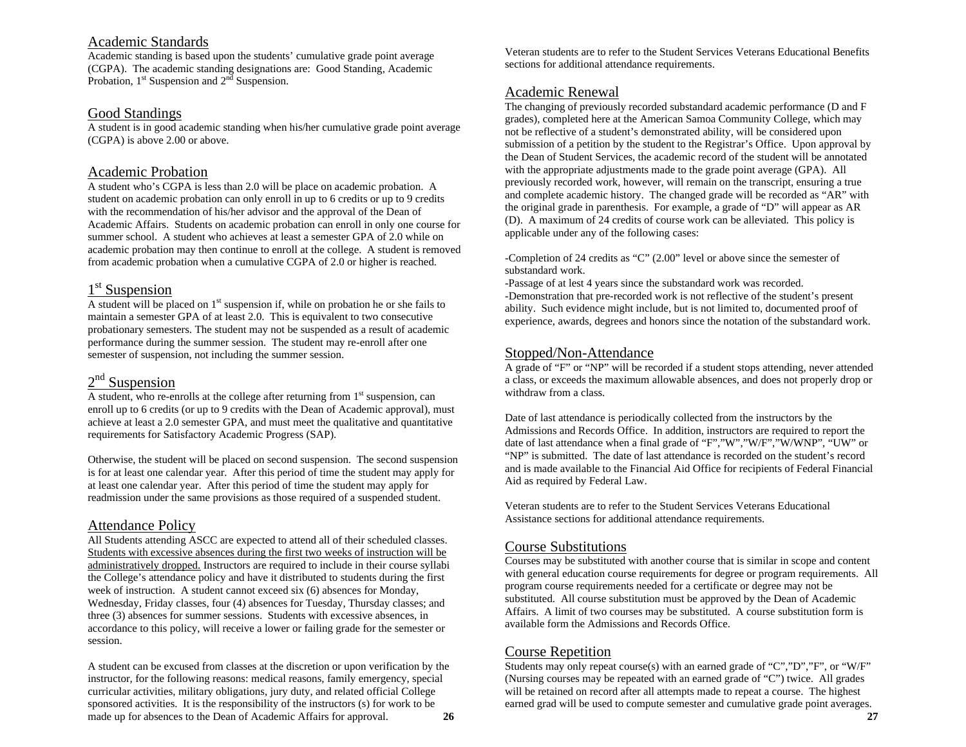## Academic Standards

Academic standing is based upon the students' cumulative grade point average (CGPA). The academic standing designations are: Good Standing, Academic Probation,  $1<sup>st</sup>$  Suspension and  $2<sup>nd</sup>$  Suspension.

### Good Standings

A student is in good academic standing when his/her cumulative grade point average (CGPA) is above 2.00 or above.

## Academic Probation

A student who's CGPA is less than 2.0 will be place on academic probation. A student on academic probation can only enroll in up to 6 credits or up to 9 credits with the recommendation of his/her advisor and the approval of the Dean of Academic Affairs. Students on academic probation can enroll in only one course for summer school. A student who achieves at least a semester GPA of 2.0 while on academic probation may then continue to enroll at the college. A student is removed from academic probation when a cumulative CGPA of 2.0 or higher is reached.

# 1<sup>st</sup> Suspension

A student will be placed on 1<sup>st</sup> suspension if, while on probation he or she fails to maintain a semester GPA of at least 2.0. This is equivalent to two consecutive probationary semesters. The student may not be suspended as a result of academic performance during the summer session. The student may re-enroll after one semester of suspension, not including the summer session.

# $2<sup>nd</sup>$  Suspension

A student, who re-enrolls at the college after returning from  $1<sup>st</sup>$  suspension, can enroll up to 6 credits (or up to 9 credits with the Dean of Academic approval), must achieve at least a 2.0 semester GPA, and must meet the qualitative and quantitative requirements for Satisfactory Academic Progress (SAP).

Otherwise, the student will be placed on second suspension. The second suspension is for at least one calendar year. After this period of time the student may apply for at least one calendar year. After this period of time the student may apply for readmission under the same provisions as those required of a suspended student.

# Attendance Policy

All Students attending ASCC are expected to attend all of their scheduled classes. Students with excessive absences during the first two weeks of instruction will be administratively dropped. Instructors are required to include in their course syllabi the College's attendance policy and have it distributed to students during the first week of instruction. A student cannot exceed six (6) absences for Monday, Wednesday, Friday classes, four (4) absences for Tuesday, Thursday classes; and three (3) absences for summer sessions. Students with excessive absences, in accordance to this policy, will receive a lower or failing grade for the semester or session.

A student can be excused from classes at the discretion or upon verification by the instructor, for the following reasons: medical reasons, family emergency, special curricular activities, military obligations, jury duty, and related official College sponsored activities. It is the responsibility of the instructors (s) for work to be made up for absences to the Dean of Academic Affairs for approval. **26**  Veteran students are to refer to the Student Services Veterans Educational Benefits sections for additional attendance requirements.

# Academic Renewal

The changing of previously recorded substandard academic performance (D and F grades), completed here at the American Samoa Community College, which may not be reflective of a student's demonstrated ability, will be considered upon submission of a petition by the student to the Registrar's Office. Upon approval by the Dean of Student Services, the academic record of the student will be annotated with the appropriate adjustments made to the grade point average (GPA). All previously recorded work, however, will remain on the transcript, ensuring a true and complete academic history. The changed grade will be recorded as "AR" with the original grade in parenthesis. For example, a grade of "D" will appear as AR (D). A maximum of 24 credits of course work can be alleviated. This policy is applicable under any of the following cases:

-Completion of 24 credits as "C" (2.00" level or above since the semester of substandard work.

-Passage of at lest 4 years since the substandard work was recorded. -Demonstration that pre-recorded work is not reflective of the student's present ability. Such evidence might include, but is not limited to, documented proof of experience, awards, degrees and honors since the notation of the substandard work.

## Stopped/Non-Attendance

A grade of "F" or "NP" will be recorded if a student stops attending, never attended a class, or exceeds the maximum allowable absences, and does not properly drop or withdraw from a class.

Date of last attendance is periodically collected from the instructors by the Admissions and Records Office. In addition, instructors are required to report the date of last attendance when a final grade of "F","W","W/F","W/WNP", "UW" or "NP" is submitted. The date of last attendance is recorded on the student's record and is made available to the Financial Aid Office for recipients of Federal Financial Aid as required by Federal Law.

Veteran students are to refer to the Student Services Veterans Educational Assistance sections for additional attendance requirements.

## Course Substitutions

Courses may be substituted with another course that is similar in scope and content with general education course requirements for degree or program requirements. All program course requirements needed for a certificate or degree may not be substituted. All course substitution must be approved by the Dean of Academic Affairs. A limit of two courses may be substituted. A course substitution form is available form the Admissions and Records Office.

# Course Repetition

Students may only repeat course(s) with an earned grade of "C","D","F", or "W/F" (Nursing courses may be repeated with an earned grade of "C") twice. All grades will be retained on record after all attempts made to repeat a course. The highest earned grad will be used to compute semester and cumulative grade point averages.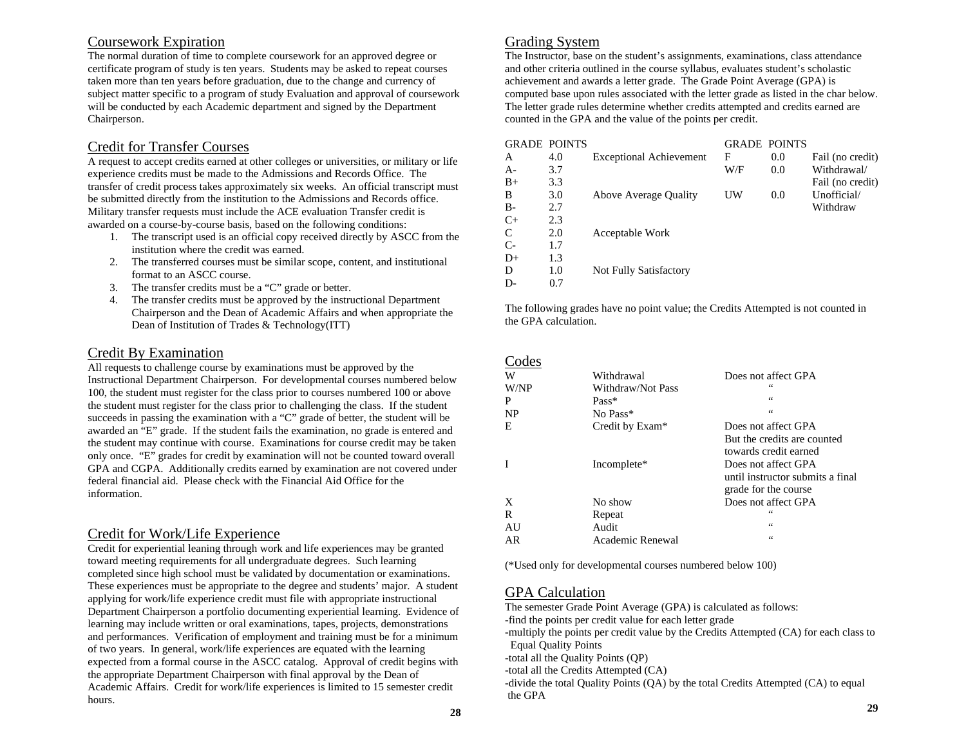# Coursework Expiration

The normal duration of time to complete coursework for an approved degree or certificate program of study is ten years. Students may be asked to repeat courses taken more than ten years before graduation, due to the change and currency of subject matter specific to a program of study Evaluation and approval of coursework will be conducted by each Academic department and signed by the Department Chairperson.

## Credit for Transfer Courses

A request to accept credits earned at other colleges or universities, or military or life experience credits must be made to the Admissions and Records Office. The transfer of credit process takes approximately six weeks. An official transcript must be submitted directly from the institution to the Admissions and Records office. Military transfer requests must include the ACE evaluation Transfer credit is awarded on a course-by-course basis, based on the following conditions:

- 1. The transcript used is an official copy received directly by ASCC from the institution where the credit was earned.
- 2. The transferred courses must be similar scope, content, and institutional format to an ASCC course.
- 3. The transfer credits must be a "C" grade or better.
- 4. The transfer credits must be approved by the instructional Department Chairperson and the Dean of Academic Affairs and when appropriate the Dean of Institution of Trades & Technology(ITT)

# Credit By Examination

All requests to challenge course by examinations must be approved by the Instructional Department Chairperson. For developmental courses numbered below 100, the student must register for the class prior to courses numbered 100 or above the student must register for the class prior to challenging the class. If the student succeeds in passing the examination with a "C" grade of better, the student will be awarded an "E" grade. If the student fails the examination, no grade is entered and the student may continue with course. Examinations for course credit may be taken only once. "E" grades for credit by examination will not be counted toward overall GPA and CGPA. Additionally credits earned by examination are not covered under federal financial aid. Please check with the Financial Aid Office for the information.

# Credit for Work/Life Experience

Credit for experiential leaning through work and life experiences may be granted toward meeting requirements for all undergraduate degrees. Such learning completed since high school must be validated by documentation or examinations. These experiences must be appropriate to the degree and students' major. A student applying for work/life experience credit must file with appropriate instructional Department Chairperson a portfolio documenting experiential learning. Evidence of learning may include written or oral examinations, tapes, projects, demonstrations and performances. Verification of employment and training must be for a minimum of two years. In general, work/life experiences are equated with the learning expected from a formal course in the ASCC catalog. Approval of credit begins with the appropriate Department Chairperson with final approval by the Dean of Academic Affairs. Credit for work/life experiences is limited to 15 semester credit hours.

# Grading System

The Instructor, base on the student's assignments, examinations, class attendance and other criteria outlined in the course syllabus, evaluates student's scholastic achievement and awards a letter grade. The Grade Point Average (GPA) is computed base upon rules associated with the letter grade as listed in the char below. The letter grade rules determine whether credits attempted and credits earned are counted in the GPA and the value of the points per credit.

|      | <b>GRADE POINTS</b> |                                | <b>GRADE POINTS</b> |     |                  |
|------|---------------------|--------------------------------|---------------------|-----|------------------|
| A    | 4.0                 | <b>Exceptional Achievement</b> | F                   | 0.0 | Fail (no credit) |
| А-   | 3.7                 |                                | W/F                 | 0.0 | Withdrawal/      |
| $B+$ | 3.3                 |                                |                     |     | Fail (no credit) |
| B    | 3.0                 | <b>Above Average Quality</b>   | UW                  | 0.0 | Unofficial/      |
| B-   | 2.7                 |                                |                     |     | Withdraw         |
| $C+$ | 2.3                 |                                |                     |     |                  |
| C    | 2.0                 | Acceptable Work                |                     |     |                  |
| C-   | 1.7                 |                                |                     |     |                  |
| D+   | 1.3                 |                                |                     |     |                  |
| D    | 1.0                 | Not Fully Satisfactory         |                     |     |                  |
| D-   | 0.7                 |                                |                     |     |                  |

The following grades have no point value; the Credits Attempted is not counted in the GPA calculation.

#### Codes

| <b>COUC</b> |                   |                                  |
|-------------|-------------------|----------------------------------|
| W           | Withdrawal        | Does not affect GPA              |
| W/NP        | Withdraw/Not Pass | 66                               |
| P           | $Pass*$           | 66                               |
| <b>NP</b>   | No Pass*          | $\zeta$ $\zeta$                  |
| E           | Credit by Exam*   | Does not affect GPA              |
|             |                   | But the credits are counted      |
|             |                   | towards credit earned            |
| I           | Incomplete*       | Does not affect GPA              |
|             |                   | until instructor submits a final |
|             |                   | grade for the course             |
| X           | No show           | Does not affect GPA              |
| R           | Repeat            | 66                               |
| AU          | Audit             | $\zeta$ $\zeta$                  |
| AR          | Academic Renewal  | $\zeta$ $\zeta$                  |
|             |                   |                                  |

(\*Used only for developmental courses numbered below 100)

# GPA Calculation

The semester Grade Point Average (GPA) is calculated as follows:

-find the points per credit value for each letter grade

-multiply the points per credit value by the Credits Attempted (CA) for each class to Equal Quality Points

-total all the Quality Points (QP)

-total all the Credits Attempted (CA)

-divide the total Quality Points (QA) by the total Credits Attempted (CA) to equal the GPA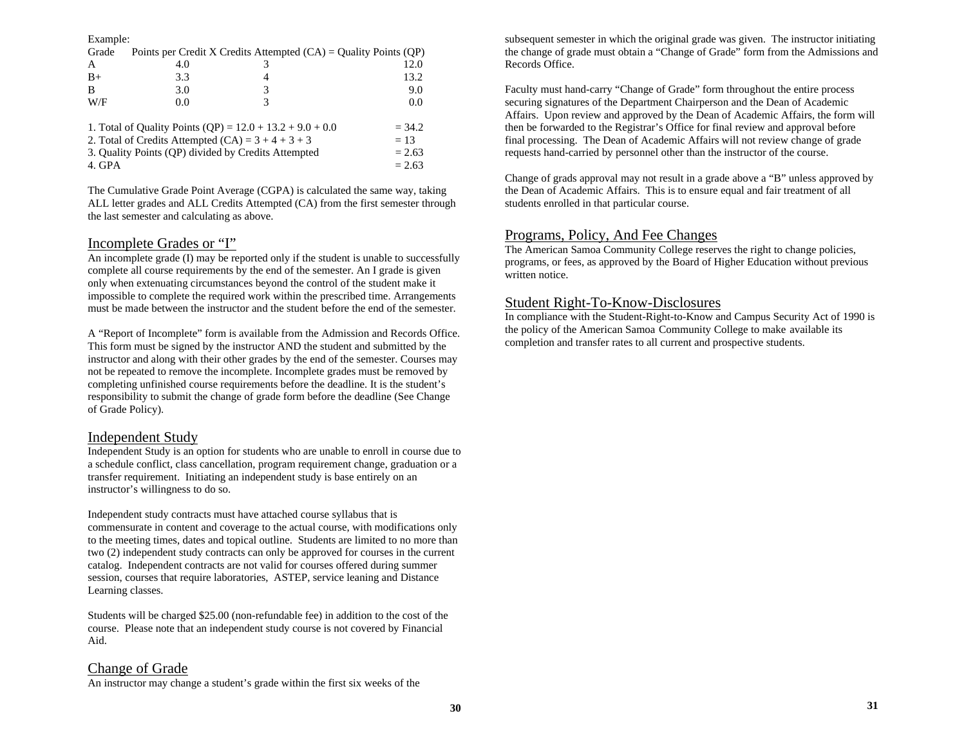Example:

| Grade                                                       |     | Points per Credit X Credits Attempted $(CA) =$ Quality Points $(QP)$ |          |
|-------------------------------------------------------------|-----|----------------------------------------------------------------------|----------|
| A                                                           | 4.0 |                                                                      | 12.0     |
| $B+$                                                        | 3.3 | 4                                                                    | 13.2     |
| B                                                           | 3.0 |                                                                      | 9.0      |
| W/F                                                         | 0.0 | 3                                                                    | 0.0      |
|                                                             |     |                                                                      |          |
| 1. Total of Quality Points (QP) = $12.0 + 13.2 + 9.0 + 0.0$ |     |                                                                      | $= 34.2$ |
| 2. Total of Credits Attempted $(CA) = 3 + 4 + 3 + 3$        |     |                                                                      | $= 13$   |
| 3. Quality Points (OP) divided by Credits Attempted         |     | $= 2.63$                                                             |          |
| 4. GPA                                                      |     |                                                                      | $= 2.63$ |

The Cumulative Grade Point Average (CGPA) is calculated the same way, taking ALL letter grades and ALL Credits Attempted (CA) from the first semester through the last semester and calculating as above.

# Incomplete Grades or "I"

An incomplete grade (I) may be reported only if the student is unable to successfully complete all course requirements by the end of the semester. An I grade is given only when extenuating circumstances beyond the control of the student make it impossible to complete the required work within the prescribed time. Arrangements must be made between the instructor and the student before the end of the semester.

A "Report of Incomplete" form is available from the Admission and Records Office. This form must be signed by the instructor AND the student and submitted by the instructor and along with their other grades by the end of the semester. Courses may not be repeated to remove the incomplete. Incomplete grades must be removed by completing unfinished course requirements before the deadline. It is the student's responsibility to submit the change of grade form before the deadline (See Change of Grade Policy).

## Independent Study

Independent Study is an option for students who are unable to enroll in course due to a schedule conflict, class cancellation, program requirement change, graduation or a transfer requirement. Initiating an independent study is base entirely on an instructor's willingness to do so.

Independent study contracts must have attached course syllabus that is commensurate in content and coverage to the actual course, with modifications only to the meeting times, dates and topical outline. Students are limited to no more than two (2) independent study contracts can only be approved for courses in the current catalog. Independent contracts are not valid for courses offered during summer session, courses that require laboratories, ASTEP, service leaning and Distance Learning classes.

Students will be charged \$25.00 (non-refundable fee) in addition to the cost of the course. Please note that an independent study course is not covered by Financial Aid.

# Change of Grade

An instructor may change a student's grade within the first six weeks of the

subsequent semester in which the original grade was given. The instructor initiating the change of grade must obtain a "Change of Grade" form from the Admissions and Records Office.

Faculty must hand-carry "Change of Grade" form throughout the entire process securing signatures of the Department Chairperson and the Dean of Academic Affairs. Upon review and approved by the Dean of Academic Affairs, the form will then be forwarded to the Registrar's Office for final review and approval before final processing. The Dean of Academic Affairs will not review change of grade requests hand-carried by personnel other than the instructor of the course.

Change of grads approval may not result in a grade above a "B" unless approved by the Dean of Academic Affairs. This is to ensure equal and fair treatment of all students enrolled in that particular course.

# Programs, Policy, And Fee Changes

The American Samoa Community College reserves the right to change policies, programs, or fees, as approved by the Board of Higher Education without previous written notice.

## Student Right-To-Know-Disclosures

In compliance with the Student-Right-to-Know and Campus Security Act of 1990 is the policy of the American Samoa Community College to make available its completion and transfer rates to all current and prospective students.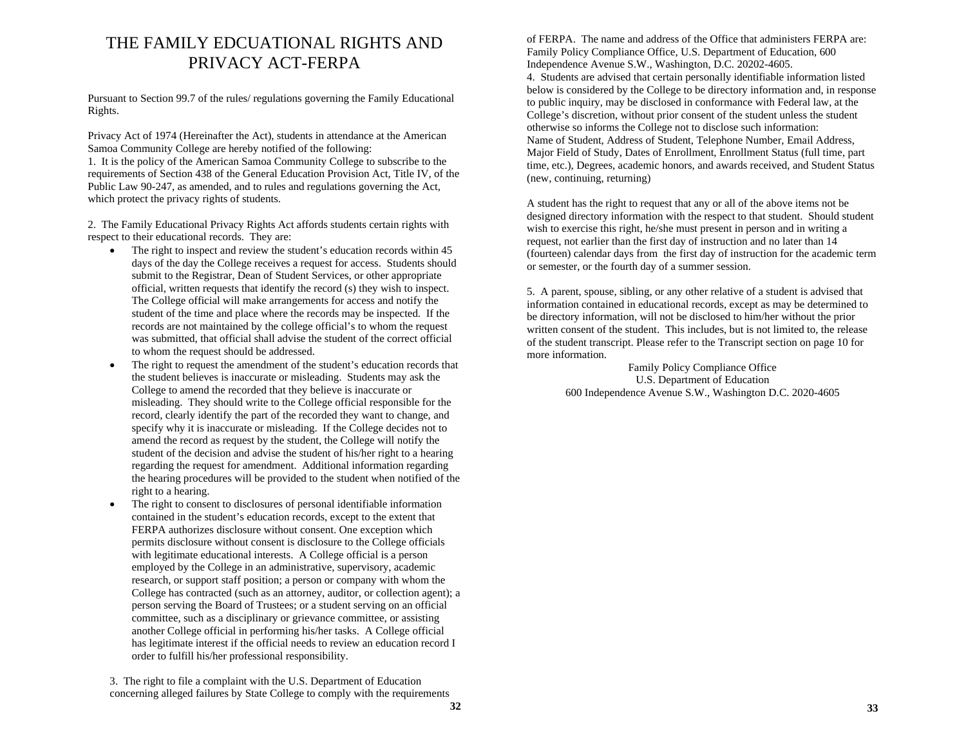# THE FAMILY EDCUATIONAL RIGHTS AND PRIVACY ACT-FERPA

Pursuant to Section 99.7 of the rules/ regulations governing the Family Educational Rights.

Privacy Act of 1974 (Hereinafter the Act), students in attendance at the American Samoa Community College are hereby notified of the following: 1. It is the policy of the American Samoa Community College to subscribe to the requirements of Section 438 of the General Education Provision Act, Title IV, of the Public Law 90-247, as amended, and to rules and regulations governing the Act, which protect the privacy rights of students.

2. The Family Educational Privacy Rights Act affords students certain rights with respect to their educational records. They are:

- • The right to inspect and review the student's education records within 45 days of the day the College receives a request for access. Students should submit to the Registrar, Dean of Student Services, or other appropriate official, written requests that identify the record (s) they wish to inspect. The College official will make arrangements for access and notify the student of the time and place where the records may be inspected. If the records are not maintained by the college official's to whom the request was submitted, that official shall advise the student of the correct official to whom the request should be addressed.
- • The right to request the amendment of the student's education records that the student believes is inaccurate or misleading. Students may ask the College to amend the recorded that they believe is inaccurate or misleading. They should write to the College official responsible for the record, clearly identify the part of the recorded they want to change, and specify why it is inaccurate or misleading. If the College decides not to amend the record as request by the student, the College will notify the student of the decision and advise the student of his/her right to a hearing regarding the request for amendment. Additional information regarding the hearing procedures will be provided to the student when notified of the right to a hearing.
- • The right to consent to disclosures of personal identifiable information contained in the student's education records, except to the extent that FERPA authorizes disclosure without consent. One exception which permits disclosure without consent is disclosure to the College officials with legitimate educational interests. A College official is a person employed by the College in an administrative, supervisory, academic research, or support staff position; a person or company with whom the College has contracted (such as an attorney, auditor, or collection agent); a person serving the Board of Trustees; or a student serving on an official committee, such as a disciplinary or grievance committee, or assisting another College official in performing his/her tasks. A College official has legitimate interest if the official needs to review an education record I order to fulfill his/her professional responsibility.

3. The right to file a complaint with the U.S. Department of Education concerning alleged failures by State College to comply with the requirements

of FERPA. The name and address of the Office that administers FERPA are: Family Policy Compliance Office, U.S. Department of Education, 600 Independence Avenue S.W., Washington, D.C. 20202-4605. 4. Students are advised that certain personally identifiable information listed below is considered by the College to be directory information and, in response to public inquiry, may be disclosed in conformance with Federal law, at the College's discretion, without prior consent of the student unless the student otherwise so informs the College not to disclose such information: Name of Student, Address of Student, Telephone Number, Email Address, Major Field of Study, Dates of Enrollment, Enrollment Status (full time, part time, etc.), Degrees, academic honors, and awards received, and Student Status (new, continuing, returning)

A student has the right to request that any or all of the above items not be designed directory information with the respect to that student. Should student wish to exercise this right, he/she must present in person and in writing a request, not earlier than the first day of instruction and no later than 14 (fourteen) calendar days from the first day of instruction for the academic term or semester, or the fourth day of a summer session.

5. A parent, spouse, sibling, or any other relative of a student is advised that information contained in educational records, except as may be determined to be directory information, will not be disclosed to him/her without the prior written consent of the student. This includes, but is not limited to, the release of the student transcript. Please refer to the Transcript section on page 10 for more information.

> Family Policy Compliance Office U.S. Department of Education 600 Independence Avenue S.W., Washington D.C. 2020-4605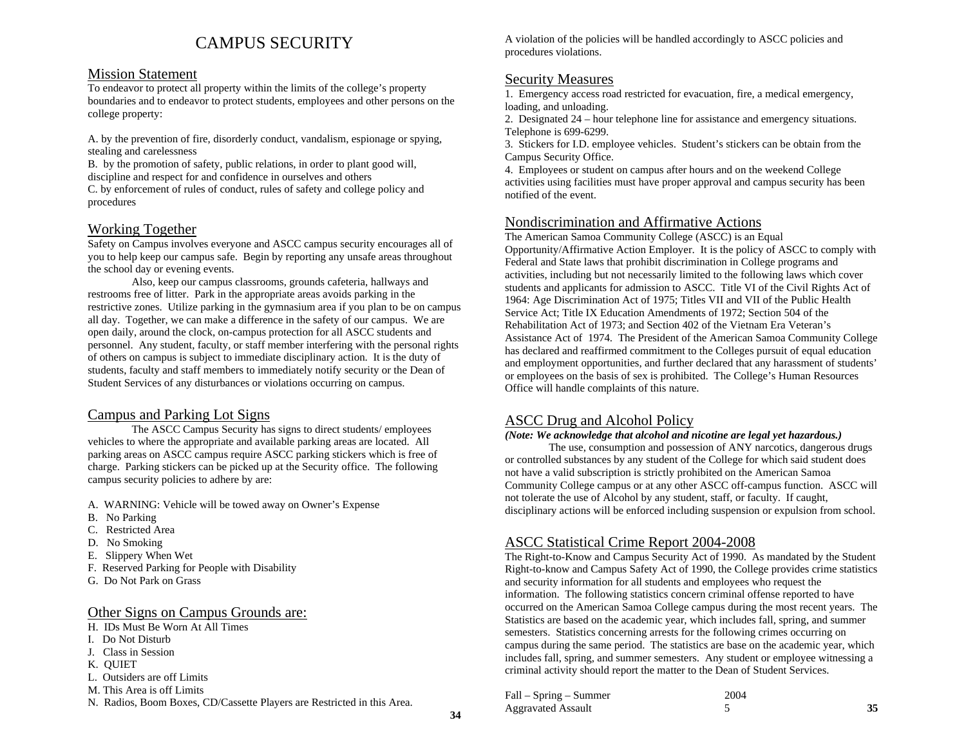# CAMPUS SECURITY

## Mission Statement

To endeavor to protect all property within the limits of the college's property boundaries and to endeavor to protect students, employees and other persons on the college property:

A. by the prevention of fire, disorderly conduct, vandalism, espionage or spying, stealing and carelessness

B. by the promotion of safety, public relations, in order to plant good will, discipline and respect for and confidence in ourselves and others

C. by enforcement of rules of conduct, rules of safety and college policy and procedures

# Working Together

Safety on Campus involves everyone and ASCC campus security encourages all of you to help keep our campus safe. Begin by reporting any unsafe areas throughout the school day or evening events.

Also, keep our campus classrooms, grounds cafeteria, hallways and restrooms free of litter. Park in the appropriate areas avoids parking in the restrictive zones. Utilize parking in the gymnasium area if you plan to be on campus all day. Together, we can make a difference in the safety of our campus. We are open daily, around the clock, on-campus protection for all ASCC students and personnel. Any student, faculty, or staff member interfering with the personal rights of others on campus is subject to immediate disciplinary action. It is the duty of students, faculty and staff members to immediately notify security or the Dean of Student Services of any disturbances or violations occurring on campus.

# Campus and Parking Lot Signs

The ASCC Campus Security has signs to direct students/ employees vehicles to where the appropriate and available parking areas are located. All parking areas on ASCC campus require ASCC parking stickers which is free of charge. Parking stickers can be picked up at the Security office. The following campus security policies to adhere by are:

- A. WARNING: Vehicle will be towed away on Owner's Expense
- B. No Parking
- C. Restricted Area
- D. No Smoking
- E. Slippery When Wet
- F. Reserved Parking for People with Disability
- G. Do Not Park on Grass

## Other Signs on Campus Grounds are:

- H. IDs Must Be Worn At All Times
- I. Do Not Disturb
- J. Class in Session
- K. QUIET
- L. Outsiders are off Limits
- M. This Area is off Limits
- N. Radios, Boom Boxes, CD/Cassette Players are Restricted in this Area.

A violation of the policies will be handled accordingly to ASCC policies and procedures violations.

# Security Measures

1. Emergency access road restricted for evacuation, fire, a medical emergency, loading, and unloading.

2. Designated 24 – hour telephone line for assistance and emergency situations. Telephone is 699-6299.

3. Stickers for I.D. employee vehicles. Student's stickers can be obtain from the Campus Security Office.

4. Employees or student on campus after hours and on the weekend College activities using facilities must have proper approval and campus security has been notified of the event.

## Nondiscrimination and Affirmative Actions

The American Samoa Community College (ASCC) is an Equal Opportunity/Affirmative Action Employer. It is the policy of ASCC to comply with Federal and State laws that prohibit discrimination in College programs and activities, including but not necessarily limited to the following laws which cover students and applicants for admission to ASCC. Title VI of the Civil Rights Act of 1964: Age Discrimination Act of 1975; Titles VII and VII of the Public Health Service Act; Title IX Education Amendments of 1972; Section 504 of the Rehabilitation Act of 1973; and Section 402 of the Vietnam Era Veteran's Assistance Act of 1974. The President of the American Samoa Community College has declared and reaffirmed commitment to the Colleges pursuit of equal education and employment opportunities, and further declared that any harassment of students' or employees on the basis of sex is prohibited. The College's Human Resources Office will handle complaints of this nature.

# ASCC Drug and Alcohol Policy

#### *(Note: We acknowledge that alcohol and nicotine are legal yet hazardous.)*

The use, consumption and possession of ANY narcotics, dangerous drugs or controlled substances by any student of the College for which said student does not have a valid subscription is strictly prohibited on the American Samoa Community College campus or at any other ASCC off-campus function. ASCC will not tolerate the use of Alcohol by any student, staff, or faculty. If caught, disciplinary actions will be enforced including suspension or expulsion from school.

# ASCC Statistical Crime Report 2004-2008

The Right-to-Know and Campus Security Act of 1990. As mandated by the Student Right-to-know and Campus Safety Act of 1990, the College provides crime statistics and security information for all students and employees who request the information. The following statistics concern criminal offense reported to have occurred on the American Samoa College campus during the most recent years. The Statistics are based on the academic year, which includes fall, spring, and summer semesters. Statistics concerning arrests for the following crimes occurring on campus during the same period. The statistics are base on the academic year, which includes fall, spring, and summer semesters. Any student or employee witnessing a criminal activity should report the matter to the Dean of Student Services.

| Fall – Spring – Summer | 2004 |  |
|------------------------|------|--|
| Aggravated Assault     |      |  |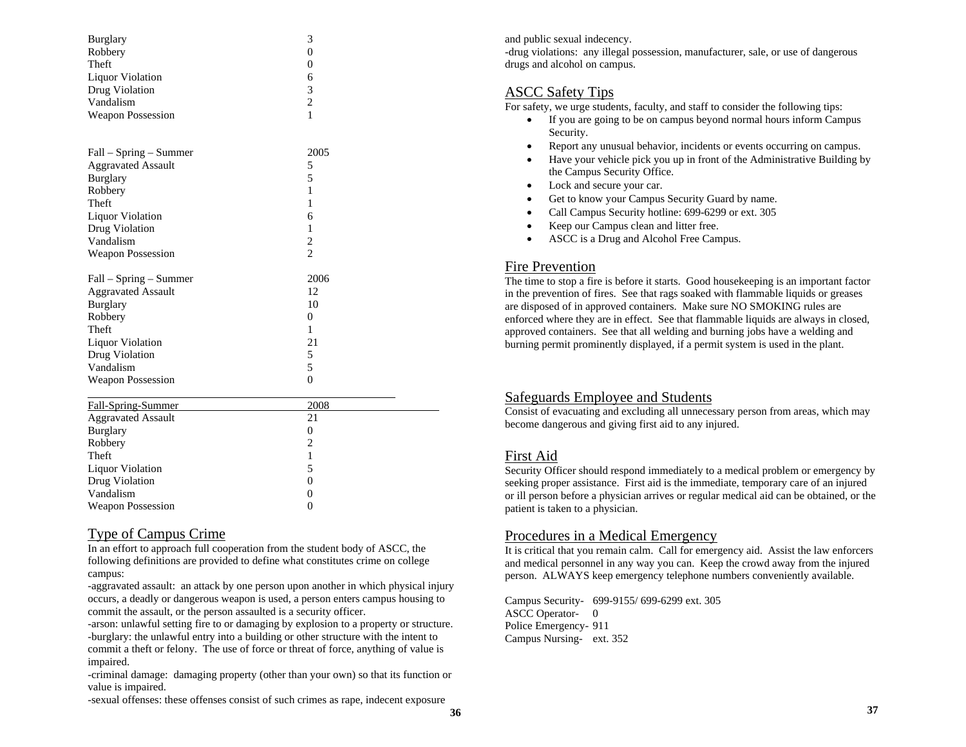| <b>Burglary</b><br>Robbery<br>Theft<br><b>Liquor Violation</b><br>Drug Violation<br>Vandalism | 3<br>$\overline{0}$<br>$\theta$<br>6<br>3<br>$\overline{c}$ |
|-----------------------------------------------------------------------------------------------|-------------------------------------------------------------|
| <b>Weapon Possession</b>                                                                      | $\mathbf{1}$                                                |
|                                                                                               |                                                             |
| Fall - Spring - Summer                                                                        | 2005                                                        |
| <b>Aggravated Assault</b>                                                                     | 5                                                           |
| <b>Burglary</b>                                                                               | 5                                                           |
| Robbery                                                                                       | 1                                                           |
| Theft                                                                                         | 1                                                           |
| <b>Liquor Violation</b>                                                                       | 6                                                           |
| Drug Violation                                                                                | 1                                                           |
| Vandalism                                                                                     | $\overline{c}$                                              |
| <b>Weapon Possession</b>                                                                      | $\overline{\mathcal{L}}$                                    |
| Fall – Spring – Summer                                                                        | 2006                                                        |
| <b>Aggravated Assault</b>                                                                     | 12                                                          |
| <b>Burglary</b>                                                                               | 10                                                          |
| Robbery                                                                                       | $\overline{0}$                                              |
| Theft                                                                                         | 1                                                           |
| Liquor Violation                                                                              | 21                                                          |
| Drug Violation                                                                                | 5                                                           |
| Vandalism                                                                                     | 5                                                           |
| <b>Weapon Possession</b>                                                                      | $\theta$                                                    |
| <b>Fall-Spring-Summer</b>                                                                     | 2008                                                        |
| <b>Aggravated Assault</b>                                                                     | 21                                                          |
| <b>Burglary</b>                                                                               | $\overline{0}$                                              |
| $D_0$ hharv                                                                                   | ↑                                                           |

| Duigiai y                |                   |  |
|--------------------------|-------------------|--|
| Robbery                  | ◠                 |  |
| Theft                    |                   |  |
| Liquor Violation         |                   |  |
| Drug Violation           | $\mathbf{\Omega}$ |  |
| Vandalism                | $\mathcal{L}$     |  |
| <b>Weapon Possession</b> | $\theta$          |  |
|                          |                   |  |

## Type of Campus Crime

In an effort to approach full cooperation from the student body of ASCC, the following definitions are provided to define what constitutes crime on college campus:

-aggravated assault: an attack by one person upon another in which physical injury occurs, a deadly or dangerous weapon is used, a person enters campus housing to commit the assault, or the person assaulted is a security officer.

-arson: unlawful setting fire to or damaging by explosion to a property or structure. -burglary: the unlawful entry into a building or other structure with the intent to commit a theft or felony. The use of force or threat of force, anything of value is impaired.

-criminal damage: damaging property (other than your own) so that its function or value is impaired.

-sexual offenses: these offenses consist of such crimes as rape, indecent exposure

and public sexual indecency.

-drug violations: any illegal possession, manufacturer, sale, or use of dangerous drugs and alcohol on campus.

# ASCC Safety Tips

For safety, we urge students, faculty, and staff to consider the following tips:

- If you are going to be on campus beyond normal hours inform Campus Security.
- •Report any unusual behavior, incidents or events occurring on campus.
- • Have your vehicle pick you up in front of the Administrative Building by the Campus Security Office.
- •Lock and secure your car.
- •Get to know your Campus Security Guard by name.
- •Call Campus Security hotline: 699-6299 or ext. 305
- •Keep our Campus clean and litter free.
- •ASCC is a Drug and Alcohol Free Campus.

## Fire Prevention

The time to stop a fire is before it starts. Good housekeeping is an important factor in the prevention of fires. See that rags soaked with flammable liquids or greases are disposed of in approved containers. Make sure NO SMOKING rules are enforced where they are in effect. See that flammable liquids are always in closed, approved containers. See that all welding and burning jobs have a welding and burning permit prominently displayed, if a permit system is used in the plant.

# Safeguards Employee and Students

Consist of evacuating and excluding all unnecessary person from areas, which may become dangerous and giving first aid to any injured.

# First Aid

Security Officer should respond immediately to a medical problem or emergency by seeking proper assistance. First aid is the immediate, temporary care of an injured or ill person before a physician arrives or regular medical aid can be obtained, or the patient is taken to a physician.

# Procedures in a Medical Emergency

It is critical that you remain calm. Call for emergency aid. Assist the law enforcers and medical personnel in any way you can. Keep the crowd away from the injured person. ALWAYS keep emergency telephone numbers conveniently available.

Campus Security- 699-9155/ 699-6299 ext. 305 ASCC Operator- 0 Police Emergency- 911 Campus Nursing- ext. 352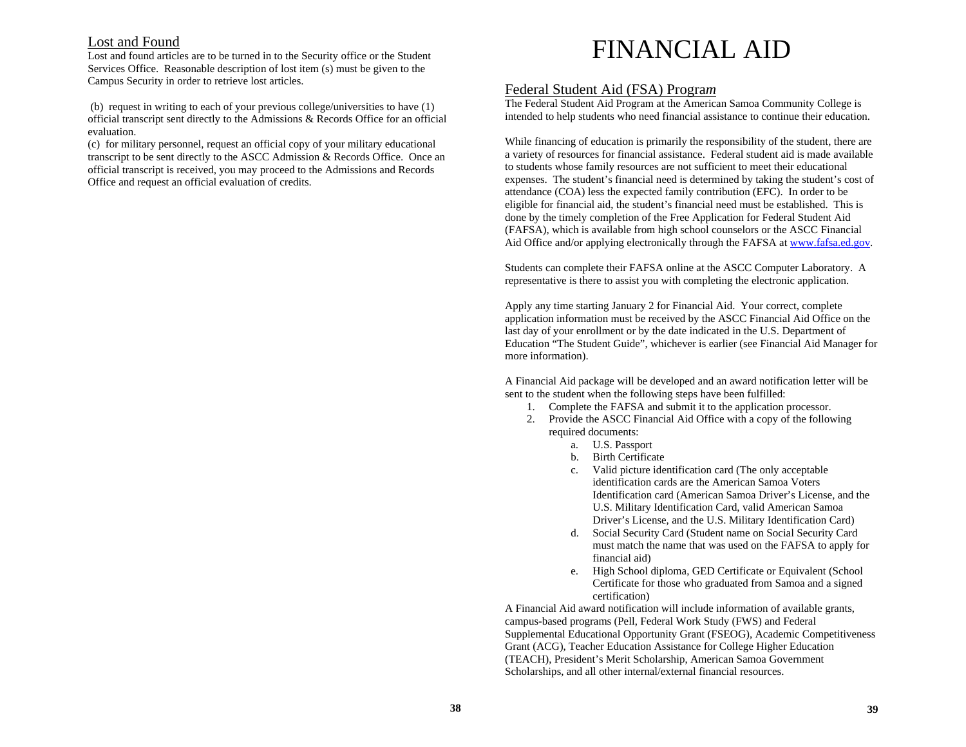# Lost and Found

Lost and found articles are to be turned in to the Security office or the Student Services Office. Reasonable description of lost item (s) must be given to the Campus Security in order to retrieve lost articles.

 (b) request in writing to each of your previous college/universities to have (1) official transcript sent directly to the Admissions & Records Office for an official evaluation.

(c) for military personnel, request an official copy of your military educational transcript to be sent directly to the ASCC Admission & Records Office. Once an official transcript is received, you may proceed to the Admissions and Records Office and request an official evaluation of credits.

# FINANCIAL AID

# Federal Student Aid (FSA) Progra*<sup>m</sup>*

The Federal Student Aid Program at the American Samoa Community College is intended to help students who need financial assistance to continue their education.

While financing of education is primarily the responsibility of the student, there are a variety of resources for financial assistance. Federal student aid is made available to students whose family resources are not sufficient to meet their educational expenses. The student's financial need is determined by taking the student's cost of attendance (COA) less the expected family contribution (EFC). In order to be eligible for financial aid, the student's financial need must be established. This is done by the timely completion of the Free Application for Federal Student Aid (FAFSA), which is available from high school counselors or the ASCC Financial Aid Office and/or applying electronically through the FAFSA at www.fafsa.ed.gov.

Students can complete their FAFSA online at the ASCC Computer Laboratory. A representative is there to assist you with completing the electronic application.

Apply any time starting January 2 for Financial Aid. Your correct, complete application information must be received by the ASCC Financial Aid Office on the last day of your enrollment or by the date indicated in the U.S. Department of Education "The Student Guide", whichever is earlier (see Financial Aid Manager for more information).

A Financial Aid package will be developed and an award notification letter will be sent to the student when the following steps have been fulfilled:

- 1. Complete the FAFSA and submit it to the application processor.
- 2. Provide the ASCC Financial Aid Office with a copy of the following required documents:
	- a. U.S. Passport
	- b. Birth Certificate
	- c. Valid picture identification card (The only acceptable identification cards are the American Samoa Voters Identification card (American Samoa Driver's License, and the U.S. Military Identification Card, valid American Samoa Driver's License, and the U.S. Military Identification Card)
	- d. Social Security Card (Student name on Social Security Card must match the name that was used on the FAFSA to apply for financial aid)
	- e. High School diploma, GED Certificate or Equivalent (School Certificate for those who graduated from Samoa and a signed certification)

A Financial Aid award notification will include information of available grants, campus-based programs (Pell, Federal Work Study (FWS) and Federal Supplemental Educational Opportunity Grant (FSEOG), Academic Competitiveness Grant (ACG), Teacher Education Assistance for College Higher Education (TEACH), President's Merit Scholarship, American Samoa Government Scholarships, and all other internal/external financial resources.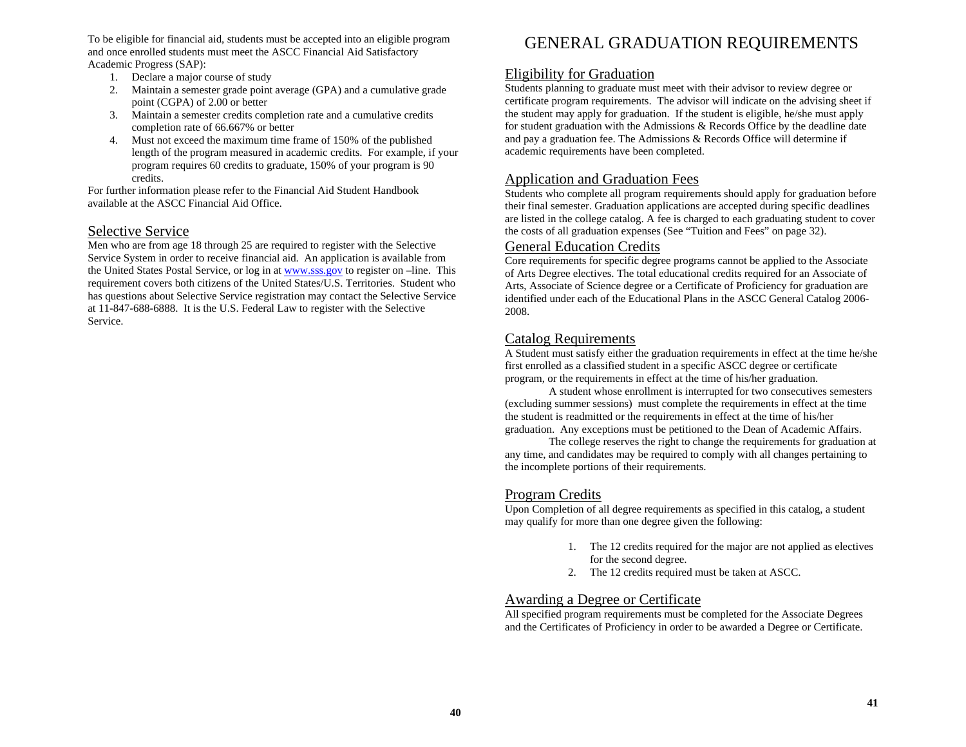To be eligible for financial aid, students must be accepted into an eligible program and once enrolled students must meet the ASCC Financial Aid Satisfactory Academic Progress (SAP):

- 1. Declare a major course of study
- 2. Maintain a semester grade point average (GPA) and a cumulative grade point (CGPA) of 2.00 or better
- 3. Maintain a semester credits completion rate and a cumulative credits completion rate of 66.667% or better
- 4. Must not exceed the maximum time frame of 150% of the published length of the program measured in academic credits. For example, if your program requires 60 credits to graduate, 150% of your program is 90 credits.

For further information please refer to the Financial Aid Student Handbook available at the ASCC Financial Aid Office.

# Selective Service

Men who are from age 18 through 25 are required to register with the Selective Service System in order to receive financial aid. An application is available from the United States Postal Service, or log in at www.sss.gov to register on –line. This requirement covers both citizens of the United States/U.S. Territories. Student who has questions about Selective Service registration may contact the Selective Service at 11-847-688-6888. It is the U.S. Federal Law to register with the Selective Service.

# GENERAL GRADUATION REQUIREMENTS

## Eligibility for Graduation

Students planning to graduate must meet with their advisor to review degree or certificate program requirements. The advisor will indicate on the advising sheet if the student may apply for graduation. If the student is eligible, he/she must apply for student graduation with the Admissions & Records Office by the deadline date and pay a graduation fee. The Admissions & Records Office will determine if academic requirements have been completed.

## Application and Graduation Fees

Students who complete all program requirements should apply for graduation before their final semester. Graduation applications are accepted during specific deadlines are listed in the college catalog. A fee is charged to each graduating student to cover the costs of all graduation expenses (See "Tuition and Fees" on page 32).

#### General Education Credits

Core requirements for specific degree programs cannot be applied to the Associate of Arts Degree electives. The total educational credits required for an Associate of Arts, Associate of Science degree or a Certificate of Proficiency for graduation are identified under each of the Educational Plans in the ASCC General Catalog 2006- 2008.

## Catalog Requirements

A Student must satisfy either the graduation requirements in effect at the time he/she first enrolled as a classified student in a specific ASCC degree or certificate program, or the requirements in effect at the time of his/her graduation.

A student whose enrollment is interrupted for two consecutives semesters (excluding summer sessions) must complete the requirements in effect at the time the student is readmitted or the requirements in effect at the time of his/her graduation. Any exceptions must be petitioned to the Dean of Academic Affairs.

The college reserves the right to change the requirements for graduation at any time, and candidates may be required to comply with all changes pertaining to the incomplete portions of their requirements.

# Program Credits

Upon Completion of all degree requirements as specified in this catalog, a student may qualify for more than one degree given the following:

- 1. The 12 credits required for the major are not applied as electives for the second degree.
- 2. The 12 credits required must be taken at ASCC.

# Awarding a Degree or Certificate

All specified program requirements must be completed for the Associate Degrees and the Certificates of Proficiency in order to be awarded a Degree or Certificate.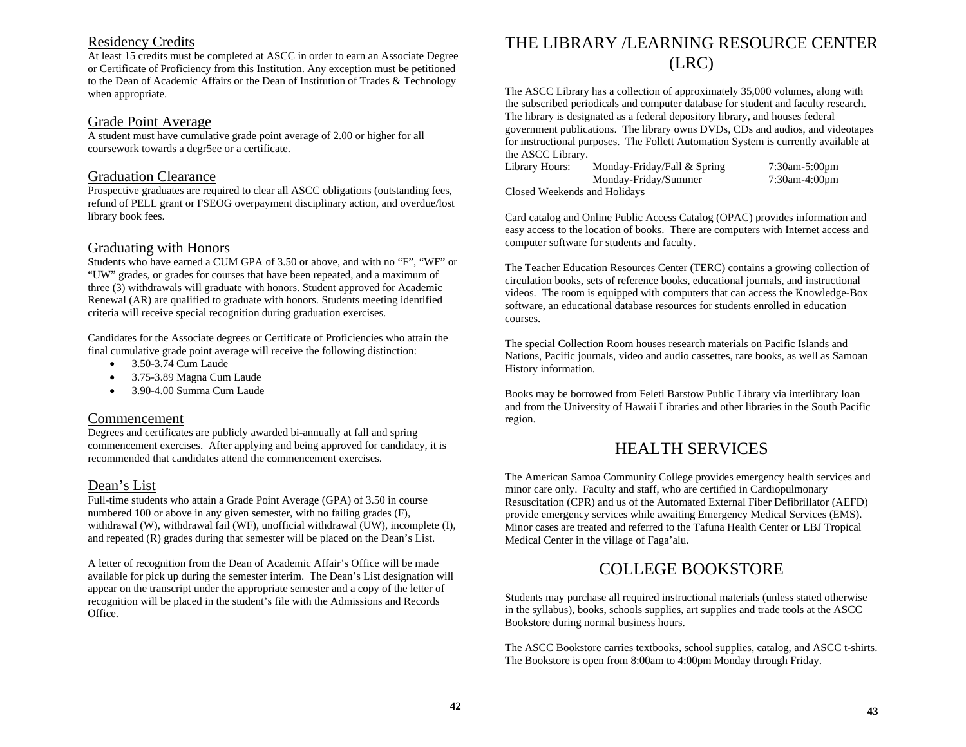# Residency Credits

At least 15 credits must be completed at ASCC in order to earn an Associate Degree or Certificate of Proficiency from this Institution. Any exception must be petitioned to the Dean of Academic Affairs or the Dean of Institution of Trades & Technology when appropriate.

## Grade Point Average

A student must have cumulative grade point average of 2.00 or higher for all coursework towards a degr5ee or a certificate.

## Graduation Clearance

Prospective graduates are required to clear all ASCC obligations (outstanding fees, refund of PELL grant or FSEOG overpayment disciplinary action, and overdue/lost library book fees.

## Graduating with Honors

Students who have earned a CUM GPA of 3.50 or above, and with no "F", "WF" or "UW" grades, or grades for courses that have been repeated, and a maximum of three (3) withdrawals will graduate with honors. Student approved for Academic Renewal (AR) are qualified to graduate with honors. Students meeting identified criteria will receive special recognition during graduation exercises.

Candidates for the Associate degrees or Certificate of Proficiencies who attain the final cumulative grade point average will receive the following distinction:

- •3.50-3.74 Cum Laude
- •3.75-3.89 Magna Cum Laude
- •3.90-4.00 Summa Cum Laude

## Commencement

Degrees and certificates are publicly awarded bi-annually at fall and spring commencement exercises. After applying and being approved for candidacy, it is recommended that candidates attend the commencement exercises.

# Dean's List

Full-time students who attain a Grade Point Average (GPA) of 3.50 in course numbered 100 or above in any given semester, with no failing grades (F), withdrawal (W), withdrawal fail (WF), unofficial withdrawal (UW), incomplete (I), and repeated (R) grades during that semester will be placed on the Dean's List.

A letter of recognition from the Dean of Academic Affair's Office will be made available for pick up during the semester interim. The Dean's List designation will appear on the transcript under the appropriate semester and a copy of the letter of recognition will be placed in the student's file with the Admissions and Records Office.

# THE LIBRARY /LEARNING RESOURCE CENTER (LRC)

The ASCC Library has a collection of approximately 35,000 volumes, along with the subscribed periodicals and computer database for student and faculty research. The library is designated as a federal depository library, and houses federal government publications. The library owns DVDs, CDs and audios, and videotapes for instructional purposes. The Follett Automation System is currently available at the ASCC Library.

Library Hours: Monday-Friday/Fall & Spring 7:30am-5:00pm Monday-Friday/Summer 7:30am-4:00pm

Closed Weekends and Holidays

Card catalog and Online Public Access Catalog (OPAC) provides information and easy access to the location of books. There are computers with Internet access and computer software for students and faculty.

The Teacher Education Resources Center (TERC) contains a growing collection of circulation books, sets of reference books, educational journals, and instructional videos. The room is equipped with computers that can access the Knowledge-Box software, an educational database resources for students enrolled in education courses.

The special Collection Room houses research materials on Pacific Islands and Nations, Pacific journals, video and audio cassettes, rare books, as well as Samoan History information.

Books may be borrowed from Feleti Barstow Public Library via interlibrary loan and from the University of Hawaii Libraries and other libraries in the South Pacific region.

# HEALTH SERVICES

The American Samoa Community College provides emergency health services and minor care only. Faculty and staff, who are certified in Cardiopulmonary Resuscitation (CPR) and us of the Automated External Fiber Defibrillator (AEFD) provide emergency services while awaiting Emergency Medical Services (EMS). Minor cases are treated and referred to the Tafuna Health Center or LBJ Tropical Medical Center in the village of Faga'alu.

# COLLEGE BOOKSTORE

Students may purchase all required instructional materials (unless stated otherwise in the syllabus), books, schools supplies, art supplies and trade tools at the ASCC Bookstore during normal business hours.

The ASCC Bookstore carries textbooks, school supplies, catalog, and ASCC t-shirts. The Bookstore is open from 8:00am to 4:00pm Monday through Friday.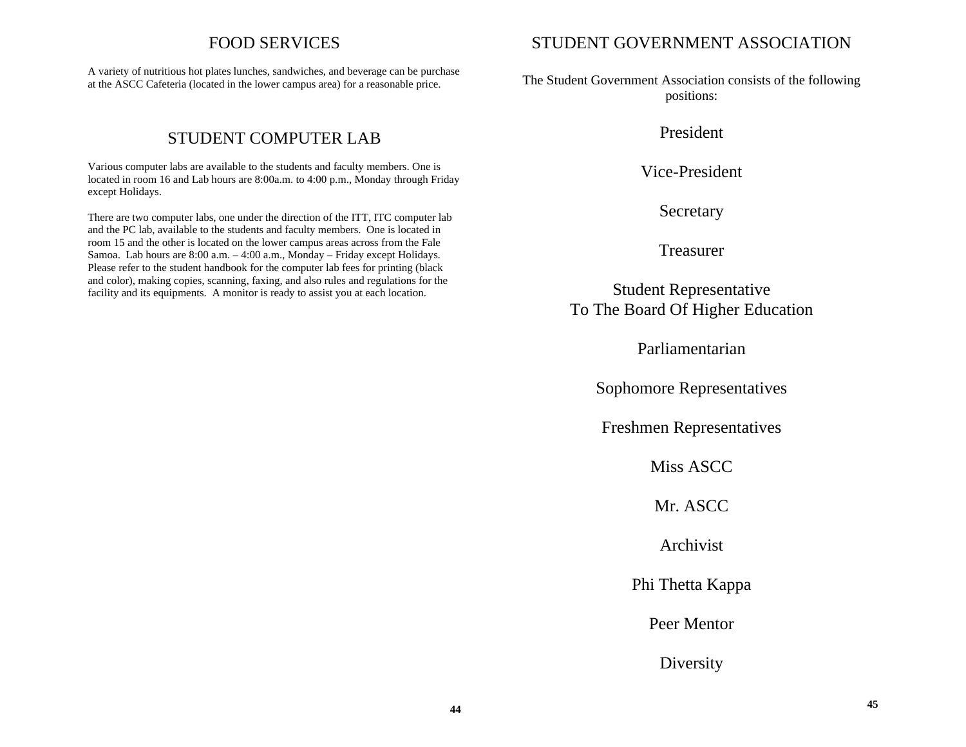# FOOD SERVICES

A variety of nutritious hot plates lunches, sandwiches, and beverage can be purchase at the ASCC Cafeteria (located in the lower campus area) for a reasonable price.

# STUDENT COMPUTER LAB

Various computer labs are available to the students and faculty members. One is located in room 16 and Lab hours are 8:00a.m. to 4:00 p.m., Monday through Friday except Holidays.

There are two computer labs, one under the direction of the ITT, ITC computer lab and the PC lab, available to the students and faculty members. One is located in room 15 and the other is located on the lower campus areas across from the Fale Samoa. Lab hours are 8:00 a.m. – 4:00 a.m., Monday – Friday except Holidays. Please refer to the student handbook for the computer lab fees for printing (black and color), making copies, scanning, faxing, and also rules and regulations for the facility and its equipments. A monitor is ready to assist you at each location.

# STUDENT GOVERNMENT ASSOCIATION

The Student Government Association consists of the following positions:

President

Vice-President

Secretary

Treasurer

Student Representative To The Board Of Higher Education

Parliamentarian

Sophomore Representatives

Freshmen Representatives

Miss ASCC

Mr. ASCC

Archivist

Phi Thetta Kappa

Peer Mentor

Diversity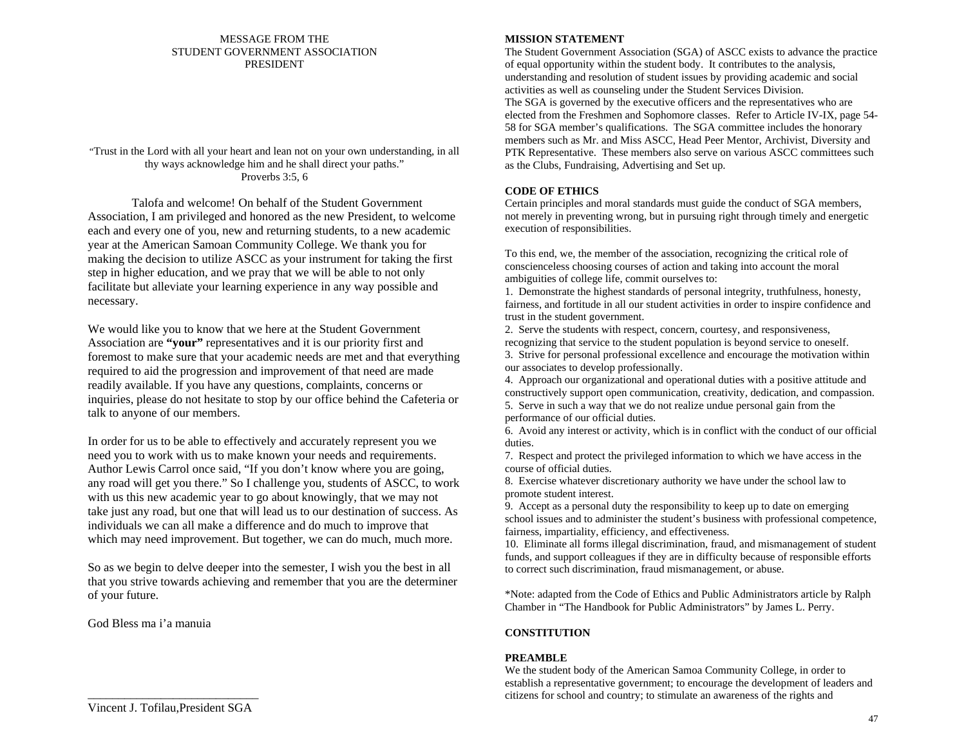#### MESSAGE FROM THE STUDENT GOVERNMENT ASSOCIATION PRESIDENT

"Trust in the Lord with all your heart and lean not on your own understanding, in all thy ways acknowledge him and he shall direct your paths." Proverbs 3:5, 6

Talofa and welcome! On behalf of the Student Government Association, I am privileged and honored as the new President, to welcome each and every one of you, new and returning students, to a new academic year at the American Samoan Community College. We thank you for making the decision to utilize ASCC as your instrument for taking the first step in higher education, and we pray that we will be able to not only facilitate but alleviate your learning experience in any way possible and necessary.

We would like you to know that we here at the Student Government Association are **"your"** representatives and it is our priority first and foremost to make sure that your academic needs are met and that everything required to aid the progression and improvement of that need are made readily available. If you have any questions, complaints, concerns or inquiries, please do not hesitate to stop by our office behind the Cafeteria or talk to anyone of our members.

In order for us to be able to effectively and accurately represent you we need you to work with us to make known your needs and requirements. Author Lewis Carrol once said, "If you don't know where you are going, any road will get you there." So I challenge you, students of ASCC, to work with us this new academic year to go about knowingly, that we may not take just any road, but one that will lead us to our destination of success. As individuals we can all make a difference and do much to improve that which may need improvement. But together, we can do much, much more.

So as we begin to delve deeper into the semester, I wish you the best in all that you strive towards achieving and remember that you are the determiner of your future.

God Bless ma i'a manuia

#### **MISSION STATEMENT**

The Student Government Association (SGA) of ASCC exists to advance the practice of equal opportunity within the student body. It contributes to the analysis, understanding and resolution of student issues by providing academic and social activities as well as counseling under the Student Services Division. The SGA is governed by the executive officers and the representatives who are elected from the Freshmen and Sophomore classes. Refer to Article IV-IX, page 54- 58 for SGA member's qualifications. The SGA committee includes the honorary members such as Mr. and Miss ASCC, Head Peer Mentor, Archivist, Diversity and PTK Representative. These members also serve on various ASCC committees such as the Clubs, Fundraising, Advertising and Set up.

#### **CODE OF ETHICS**

Certain principles and moral standards must guide the conduct of SGA members, not merely in preventing wrong, but in pursuing right through timely and energetic execution of responsibilities.

To this end, we, the member of the association, recognizing the critical role of conscienceless choosing courses of action and taking into account the moral ambiguities of college life, commit ourselves to:

1. Demonstrate the highest standards of personal integrity, truthfulness, honesty, fairness, and fortitude in all our student activities in order to inspire confidence and trust in the student government.

2. Serve the students with respect, concern, courtesy, and responsiveness, recognizing that service to the student population is beyond service to oneself.

3. Strive for personal professional excellence and encourage the motivation within our associates to develop professionally.

4. Approach our organizational and operational duties with a positive attitude and constructively support open communication, creativity, dedication, and compassion. 5. Serve in such a way that we do not realize undue personal gain from the

performance of our official duties.

6. Avoid any interest or activity, which is in conflict with the conduct of our official duties.

7. Respect and protect the privileged information to which we have access in the course of official duties.

8. Exercise whatever discretionary authority we have under the school law to promote student interest.

9. Accept as a personal duty the responsibility to keep up to date on emerging school issues and to administer the student's business with professional competence, fairness, impartiality, efficiency, and effectiveness.

10. Eliminate all forms illegal discrimination, fraud, and mismanagement of student funds, and support colleagues if they are in difficulty because of responsible efforts to correct such discrimination, fraud mismanagement, or abuse.

\*Note: adapted from the Code of Ethics and Public Administrators article by Ralph Chamber in "The Handbook for Public Administrators" by James L. Perry.

### **CONSTITUTION**

#### **PREAMBLE**

We the student body of the American Samoa Community College, in order to establish a representative government; to encourage the development of leaders and citizens for school and country; to stimulate an awareness of the rights and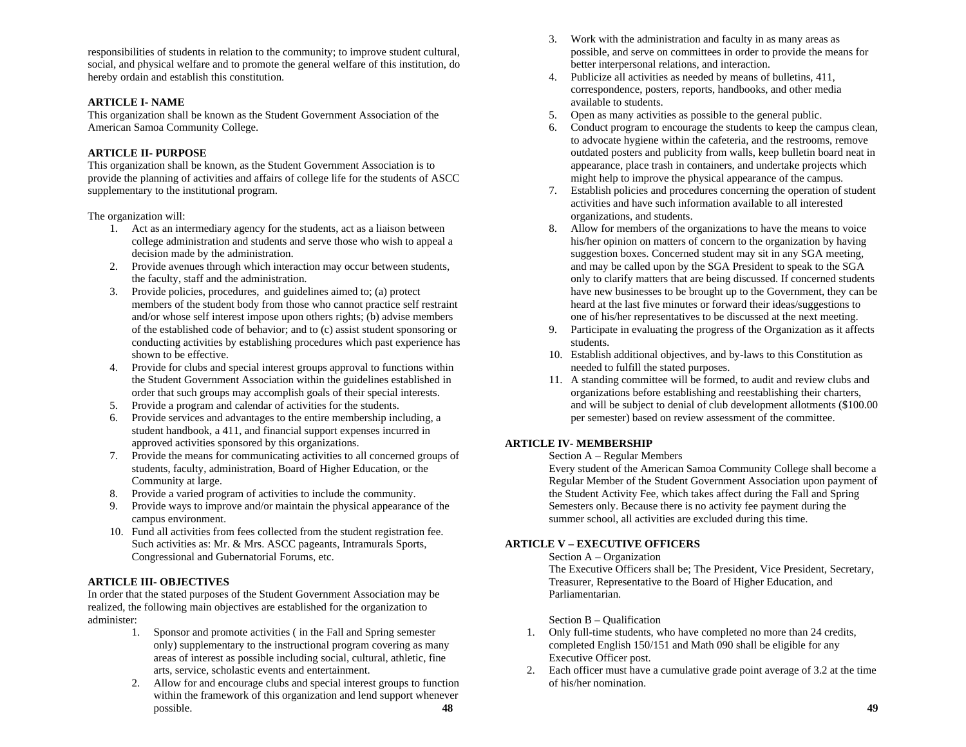responsibilities of students in relation to the community; to improve student cultural, social, and physical welfare and to promote the general welfare of this institution, do hereby ordain and establish this constitution.

#### **ARTICLE I- NAME**

This organization shall be known as the Student Government Association of the American Samoa Community College.

#### **ARTICLE II- PURPOSE**

This organization shall be known, as the Student Government Association is to provide the planning of activities and affairs of college life for the students of ASCC supplementary to the institutional program.

#### The organization will:

- 1. Act as an intermediary agency for the students, act as a liaison between college administration and students and serve those who wish to appeal a decision made by the administration.
- 2. Provide avenues through which interaction may occur between students, the faculty, staff and the administration.
- 3. Provide policies, procedures, and guidelines aimed to; (a) protect members of the student body from those who cannot practice self restraint and/or whose self interest impose upon others rights; (b) advise members of the established code of behavior; and to (c) assist student sponsoring or conducting activities by establishing procedures which past experience has shown to be effective.
- 4. Provide for clubs and special interest groups approval to functions within the Student Government Association within the guidelines established in order that such groups may accomplish goals of their special interests.
- 5. Provide a program and calendar of activities for the students.
- 6. Provide services and advantages to the entire membership including, a student handbook, a 411, and financial support expenses incurred in approved activities sponsored by this organizations.
- 7. Provide the means for communicating activities to all concerned groups of students, faculty, administration, Board of Higher Education, or the Community at large.
- 8. Provide a varied program of activities to include the community.
- 9. Provide ways to improve and/or maintain the physical appearance of the campus environment.
- 10. Fund all activities from fees collected from the student registration fee. Such activities as: Mr. & Mrs. ASCC pageants, Intramurals Sports, Congressional and Gubernatorial Forums, etc.

#### **ARTICLE III- OBJECTIVES**

In order that the stated purposes of the Student Government Association may be realized, the following main objectives are established for the organization to administer:

- 1. Sponsor and promote activities ( in the Fall and Spring semester only) supplementary to the instructional program covering as many areas of interest as possible including social, cultural, athletic, fine arts, service, scholastic events and entertainment.
- 2. Allow for and encourage clubs and special interest groups to function within the framework of this organization and lend support whenever possible. **48**
- 3. Work with the administration and faculty in as many areas as possible, and serve on committees in order to provide the means for better interpersonal relations, and interaction.
- 4. Publicize all activities as needed by means of bulletins, 411, correspondence, posters, reports, handbooks, and other media available to students.
- 5. Open as many activities as possible to the general public.
- 6. Conduct program to encourage the students to keep the campus clean, to advocate hygiene within the cafeteria, and the restrooms, remove outdated posters and publicity from walls, keep bulletin board neat in appearance, place trash in containers, and undertake projects which might help to improve the physical appearance of the campus.
- 7. Establish policies and procedures concerning the operation of student activities and have such information available to all interested organizations, and students.
- 8. Allow for members of the organizations to have the means to voice his/her opinion on matters of concern to the organization by having suggestion boxes. Concerned student may sit in any SGA meeting, and may be called upon by the SGA President to speak to the SGA only to clarify matters that are being discussed. If concerned students have new businesses to be brought up to the Government, they can be heard at the last five minutes or forward their ideas/suggestions to one of his/her representatives to be discussed at the next meeting.
- 9. Participate in evaluating the progress of the Organization as it affects students.
- 10. Establish additional objectives, and by-laws to this Constitution as needed to fulfill the stated purposes.
- 11. A standing committee will be formed, to audit and review clubs and organizations before establishing and reestablishing their charters, and will be subject to denial of club development allotments (\$100.00 per semester) based on review assessment of the committee.

#### **ARTICLE IV- MEMBERSHIP**

#### Section A – Regular Members

Every student of the American Samoa Community College shall become a Regular Member of the Student Government Association upon payment of the Student Activity Fee, which takes affect during the Fall and Spring Semesters only. Because there is no activity fee payment during the summer school, all activities are excluded during this time.

#### **ARTICLE V – EXECUTIVE OFFICERS**

#### Section A – Organization

 The Executive Officers shall be; The President, Vice President, Secretary, Treasurer, Representative to the Board of Higher Education, and Parliamentarian.

#### Section B – Qualification

- 1. Only full-time students, who have completed no more than 24 credits, completed English 150/151 and Math 090 shall be eligible for any Executive Officer post.
- 2. Each officer must have a cumulative grade point average of 3.2 at the time of his/her nomination.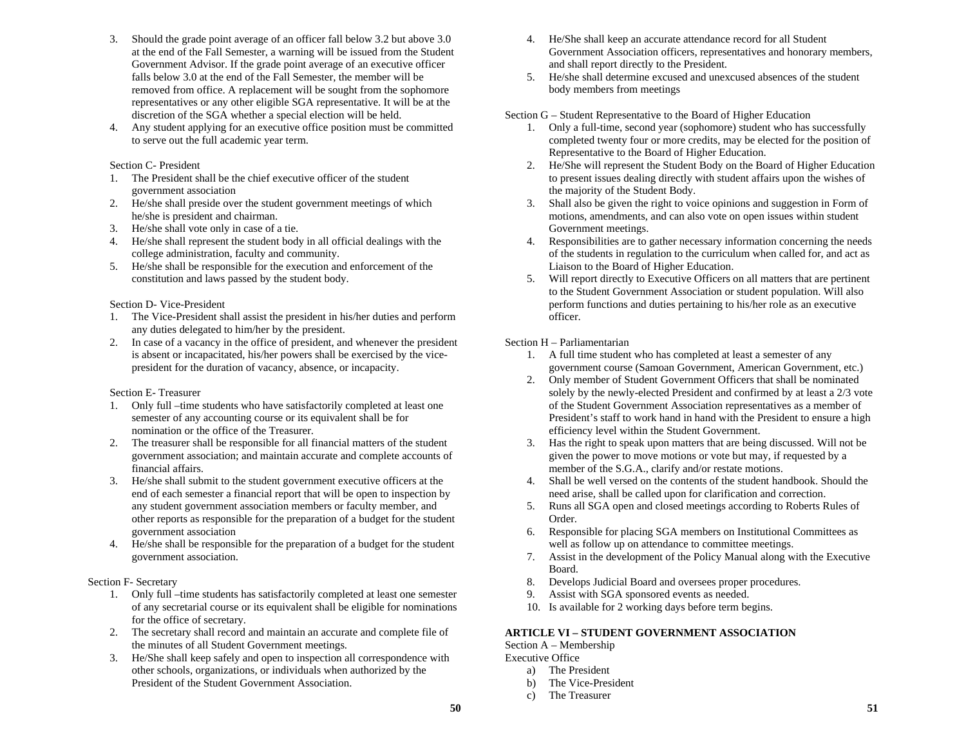- 3. Should the grade point average of an officer fall below 3.2 but above 3.0 at the end of the Fall Semester, a warning will be issued from the Student Government Advisor. If the grade point average of an executive officer falls below 3.0 at the end of the Fall Semester, the member will be removed from office. A replacement will be sought from the sophomore representatives or any other eligible SGA representative. It will be at the discretion of the SGA whether a special election will be held.
- 4. Any student applying for an executive office position must be committed to serve out the full academic year term.

#### Section C- President

- 1. The President shall be the chief executive officer of the student government association
- 2. He/she shall preside over the student government meetings of which he/she is president and chairman.
- 3. He/she shall vote only in case of a tie.
- 4. He/she shall represent the student body in all official dealings with the college administration, faculty and community.
- 5. He/she shall be responsible for the execution and enforcement of the constitution and laws passed by the student body.

#### Section D- Vice-President

- 1. The Vice-President shall assist the president in his/her duties and perform any duties delegated to him/her by the president.
- 2. In case of a vacancy in the office of president, and whenever the president is absent or incapacitated, his/her powers shall be exercised by the vicepresident for the duration of vacancy, absence, or incapacity.

#### Section E- Treasurer

- 1. Only full –time students who have satisfactorily completed at least one semester of any accounting course or its equivalent shall be for nomination or the office of the Treasurer.
- 2. The treasurer shall be responsible for all financial matters of the student government association; and maintain accurate and complete accounts of financial affairs.
- 3. He/she shall submit to the student government executive officers at the end of each semester a financial report that will be open to inspection by any student government association members or faculty member, and other reports as responsible for the preparation of a budget for the student government association
- 4. He/she shall be responsible for the preparation of a budget for the student government association.

#### Section F- Secretary

- 1. Only full –time students has satisfactorily completed at least one semester of any secretarial course or its equivalent shall be eligible for nominations for the office of secretary.
- 2. The secretary shall record and maintain an accurate and complete file of the minutes of all Student Government meetings.
- 3. He/She shall keep safely and open to inspection all correspondence with other schools, organizations, or individuals when authorized by the President of the Student Government Association.
- 4. He/She shall keep an accurate attendance record for all Student Government Association officers, representatives and honorary members, and shall report directly to the President.
- 5. He/she shall determine excused and unexcused absences of the student body members from meetings

#### Section G – Student Representative to the Board of Higher Education

- 1. Only a full-time, second year (sophomore) student who has successfully completed twenty four or more credits, may be elected for the position of Representative to the Board of Higher Education.
- 2. He/She will represent the Student Body on the Board of Higher Education to present issues dealing directly with student affairs upon the wishes of the majority of the Student Body.
- 3. Shall also be given the right to voice opinions and suggestion in Form of motions, amendments, and can also vote on open issues within student Government meetings.
- 4. Responsibilities are to gather necessary information concerning the needs of the students in regulation to the curriculum when called for, and act as Liaison to the Board of Higher Education.
- 5. Will report directly to Executive Officers on all matters that are pertinent to the Student Government Association or student population. Will also perform functions and duties pertaining to his/her role as an executive officer.

#### Section H – Parliamentarian

- 1. A full time student who has completed at least a semester of any government course (Samoan Government, American Government, etc.)
- 2. Only member of Student Government Officers that shall be nominated solely by the newly-elected President and confirmed by at least a 2/3 vote of the Student Government Association representatives as a member of President's staff to work hand in hand with the President to ensure a high efficiency level within the Student Government.
- 3. Has the right to speak upon matters that are being discussed. Will not be given the power to move motions or vote but may, if requested by a member of the S.G.A., clarify and/or restate motions.
- 4. Shall be well versed on the contents of the student handbook. Should the need arise, shall be called upon for clarification and correction.
- 5. Runs all SGA open and closed meetings according to Roberts Rules of Order.
- 6. Responsible for placing SGA members on Institutional Committees as well as follow up on attendance to committee meetings.
- 7. Assist in the development of the Policy Manual along with the Executive Board.
- 8.Develops Judicial Board and oversees proper procedures.
- 9.Assist with SGA sponsored events as needed.
- 10. Is available for 2 working days before term begins.

## **ARTICLE VI – STUDENT GOVERNMENT ASSOCIATION**

Section A – Membership

Executive Office

- a) The President
- b) The Vice-President
- c) The Treasurer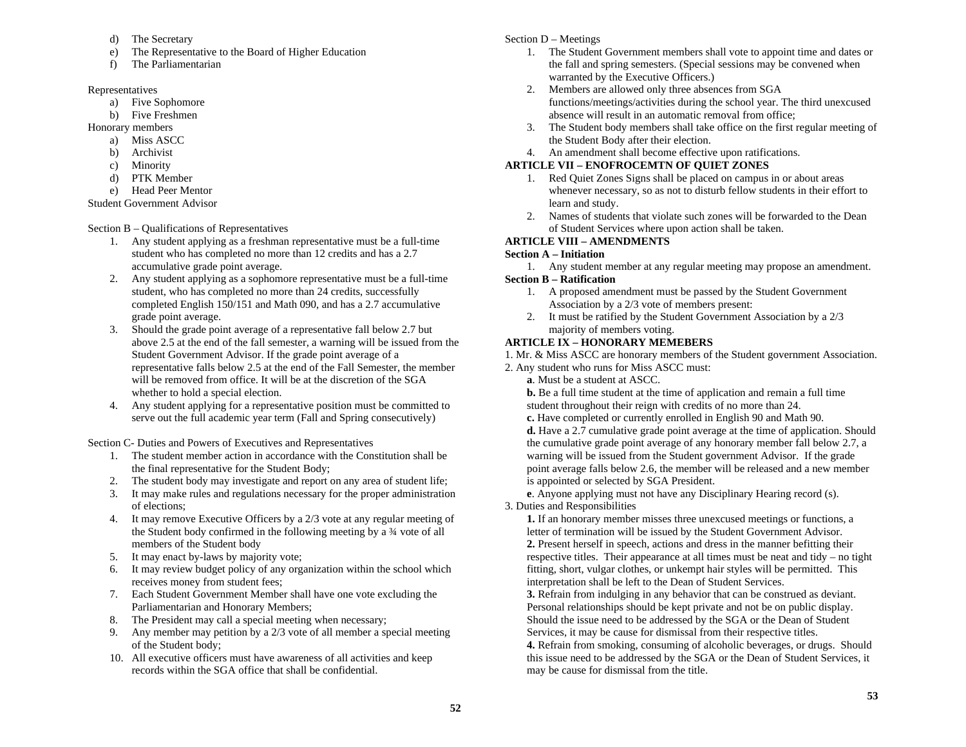- d) The Secretary
- e) The Representative to the Board of Higher Education
- f) The Parliamentarian

## Representatives

- a) Five Sophomore
- b) Five Freshmen

Honorary members

- a) Miss ASCC
- b) Archivist
- c) Minority
- d) PTK Member
- e) Head Peer Mentor

Student Government Advisor

Section B – Qualifications of Representatives

- 1. Any student applying as a freshman representative must be a full-time student who has completed no more than 12 credits and has a 2.7 accumulative grade point average.
- 2. Any student applying as a sophomore representative must be a full-time student, who has completed no more than 24 credits, successfully completed English 150/151 and Math 090, and has a 2.7 accumulative grade point average.
- 3. Should the grade point average of a representative fall below 2.7 but above 2.5 at the end of the fall semester, a warning will be issued from the Student Government Advisor. If the grade point average of a representative falls below 2.5 at the end of the Fall Semester, the member will be removed from office. It will be at the discretion of the SGA whether to hold a special election.
- 4. Any student applying for a representative position must be committed to serve out the full academic year term (Fall and Spring consecutively)

Section C- Duties and Powers of Executives and Representatives

- 1. The student member action in accordance with the Constitution shall be the final representative for the Student Body;
- 2. The student body may investigate and report on any area of student life;
- 3. It may make rules and regulations necessary for the proper administration of elections;
- 4. It may remove Executive Officers by a 2/3 vote at any regular meeting of the Student body confirmed in the following meeting by a ¾ vote of all members of the Student body
- 5. It may enact by-laws by majority vote;
- 6. It may review budget policy of any organization within the school which receives money from student fees;
- 7. Each Student Government Member shall have one vote excluding the Parliamentarian and Honorary Members;
- 8. The President may call a special meeting when necessary;
- 9. Any member may petition by a 2/3 vote of all member a special meeting of the Student body;
- 10. All executive officers must have awareness of all activities and keep records within the SGA office that shall be confidential.

# Section D – Meetings

- 1. The Student Government members shall vote to appoint time and dates or the fall and spring semesters. (Special sessions may be convened when warranted by the Executive Officers.)
- 2. Members are allowed only three absences from SGA functions/meetings/activities during the school year. The third unexcused absence will result in an automatic removal from office;
- 3. The Student body members shall take office on the first regular meeting of the Student Body after their election.
- 4. An amendment shall become effective upon ratifications.

# **ARTICLE VII – ENOFROCEMTN OF QUIET ZONES**

- 1. Red Quiet Zones Signs shall be placed on campus in or about areas whenever necessary, so as not to disturb fellow students in their effort to learn and study.
- 2. Names of students that violate such zones will be forwarded to the Dean of Student Services where upon action shall be taken.

### **ARTICLE VIII – AMENDMENTS**

## **Section A – Initiation**

- 1. Any student member at any regular meeting may propose an amendment. **Section B – Ratification** 
	- 1. A proposed amendment must be passed by the Student Government Association by a 2/3 vote of members present:
	- 2. It must be ratified by the Student Government Association by a 2/3 majority of members voting.

# **ARTICLE IX – HONORARY MEMEBERS**

1. Mr. & Miss ASCC are honorary members of the Student government Association.

- 2. Any student who runs for Miss ASCC must:
	- **a**. Must be a student at ASCC.

**b.** Be a full time student at the time of application and remain a full time student throughout their reign with credits of no more than 24.

**c.** Have completed or currently enrolled in English 90 and Math 90.

**d.** Have a 2.7 cumulative grade point average at the time of application. Should the cumulative grade point average of any honorary member fall below 2.7, a warning will be issued from the Student government Advisor. If the grade point average falls below 2.6, the member will be released and a new member is appointed or selected by SGA President.

**<sup>e</sup>**. Anyone applying must not have any Disciplinary Hearing record (s).

3. Duties and Responsibilities

**1.** If an honorary member misses three unexcused meetings or functions, a letter of termination will be issued by the Student Government Advisor. **2.** Present herself in speech, actions and dress in the manner befitting their respective titles. Their appearance at all times must be neat and tidy – no tight fitting, short, vulgar clothes, or unkempt hair styles will be permitted. This interpretation shall be left to the Dean of Student Services.

**3.** Refrain from indulging in any behavior that can be construed as deviant. Personal relationships should be kept private and not be on public display. Should the issue need to be addressed by the SGA or the Dean of Student Services, it may be cause for dismissal from their respective titles.

**4.** Refrain from smoking, consuming of alcoholic beverages, or drugs. Should this issue need to be addressed by the SGA or the Dean of Student Services, it may be cause for dismissal from the title.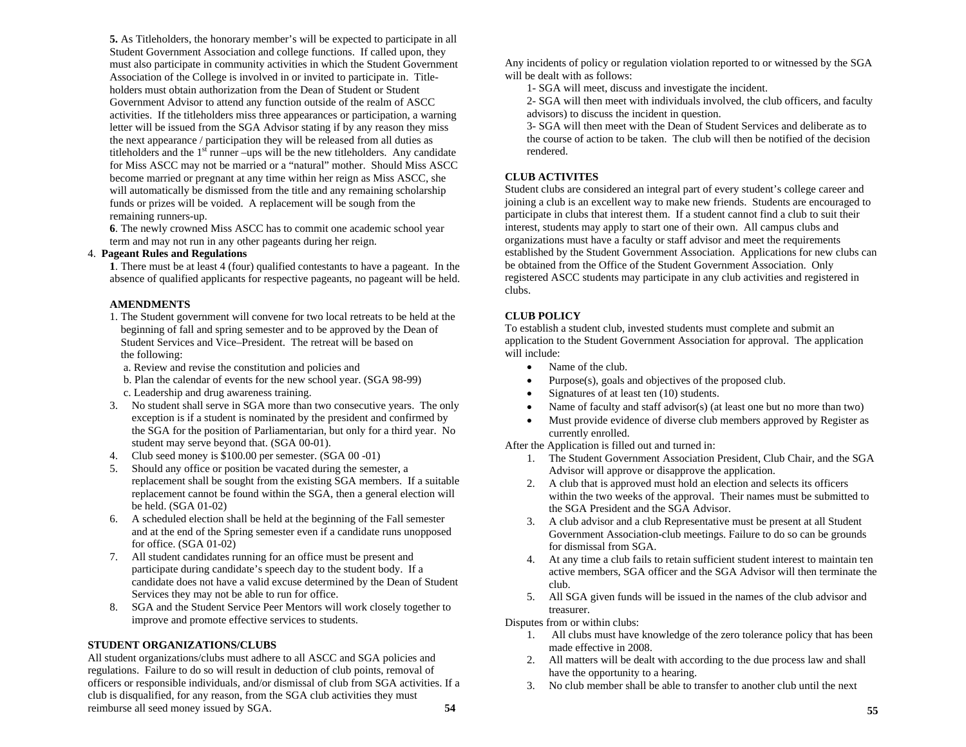**5.** As Titleholders, the honorary member's will be expected to participate in all Student Government Association and college functions. If called upon, they must also participate in community activities in which the Student Government Association of the College is involved in or invited to participate in. Titleholders must obtain authorization from the Dean of Student or Student Government Advisor to attend any function outside of the realm of ASCC activities. If the titleholders miss three appearances or participation, a warning letter will be issued from the SGA Advisor stating if by any reason they miss the next appearance / participation they will be released from all duties as titleholders and the  $1<sup>st</sup>$  runner –ups will be the new titleholders. Any candidate for Miss ASCC may not be married or a "natural" mother. Should Miss ASCC become married or pregnant at any time within her reign as Miss ASCC, she will automatically be dismissed from the title and any remaining scholarship funds or prizes will be voided. A replacement will be sough from the remaining runners-up.

**6**. The newly crowned Miss ASCC has to commit one academic school year term and may not run in any other pageants during her reign.

#### 4. **Pageant Rules and Regulations**

**1**. There must be at least 4 (four) qualified contestants to have a pageant. In the absence of qualified applicants for respective pageants, no pageant will be held.

#### **AMENDMENTS**

- 1. The Student government will convene for two local retreats to be held at the beginning of fall and spring semester and to be approved by the Dean of Student Services and Vice–President. The retreat will be based on the following:
	- a. Review and revise the constitution and policies and
	- b. Plan the calendar of events for the new school year. (SGA 98-99)
	- c. Leadership and drug awareness training.
- 3. No student shall serve in SGA more than two consecutive years. The only exception is if a student is nominated by the president and confirmed by the SGA for the position of Parliamentarian, but only for a third year. No student may serve beyond that. (SGA 00-01).
- 4. Club seed money is \$100.00 per semester. (SGA 00 -01)
- 5. Should any office or position be vacated during the semester, a replacement shall be sought from the existing SGA members. If a suitable replacement cannot be found within the SGA, then a general election will be held. (SGA 01-02)
- 6. A scheduled election shall be held at the beginning of the Fall semester and at the end of the Spring semester even if a candidate runs unopposed for office. (SGA 01-02)
- 7. All student candidates running for an office must be present and participate during candidate's speech day to the student body. If a candidate does not have a valid excuse determined by the Dean of Student Services they may not be able to run for office.
- 8. SGA and the Student Service Peer Mentors will work closely together to improve and promote effective services to students.

#### **STUDENT ORGANIZATIONS/CLUBS**

All student organizations/clubs must adhere to all ASCC and SGA policies and regulations. Failure to do so will result in deduction of club points, removal of officers or responsible individuals, and/or dismissal of club from SGA activities. If a club is disqualified, for any reason, from the SGA club activities they must reimburse all seed money issued by SGA. **54** 

Any incidents of policy or regulation violation reported to or witnessed by the SGA will be dealt with as follows:

1- SGA will meet, discuss and investigate the incident.

2- SGA will then meet with individuals involved, the club officers, and faculty advisors) to discuss the incident in question.

3- SGA will then meet with the Dean of Student Services and deliberate as to the course of action to be taken. The club will then be notified of the decision rendered.

### **CLUB ACTIVITES**

Student clubs are considered an integral part of every student's college career and joining a club is an excellent way to make new friends. Students are encouraged to participate in clubs that interest them. If a student cannot find a club to suit their interest, students may apply to start one of their own. All campus clubs and organizations must have a faculty or staff advisor and meet the requirements established by the Student Government Association. Applications for new clubs can be obtained from the Office of the Student Government Association. Only registered ASCC students may participate in any club activities and registered in clubs.

### **CLUB POLICY**

To establish a student club, invested students must complete and submit an application to the Student Government Association for approval. The application will include:

- •Name of the club.
- •Purpose(s), goals and objectives of the proposed club.
- •Signatures of at least ten (10) students.
- •Name of faculty and staff advisor(s) (at least one but no more than two)
- • Must provide evidence of diverse club members approved by Register as currently enrolled.

After the Application is filled out and turned in:

- 1. The Student Government Association President, Club Chair, and the SGA Advisor will approve or disapprove the application.
- 2. A club that is approved must hold an election and selects its officers within the two weeks of the approval. Their names must be submitted to the SGA President and the SGA Advisor.
- 3. A club advisor and a club Representative must be present at all Student Government Association-club meetings. Failure to do so can be grounds for dismissal from SGA.
- 4. At any time a club fails to retain sufficient student interest to maintain ten active members, SGA officer and the SGA Advisor will then terminate the club.
- 5. All SGA given funds will be issued in the names of the club advisor and treasurer.

Disputes from or within clubs:

- 1. All clubs must have knowledge of the zero tolerance policy that has been made effective in 2008.
- 2. All matters will be dealt with according to the due process law and shall have the opportunity to a hearing.
- 3. No club member shall be able to transfer to another club until the next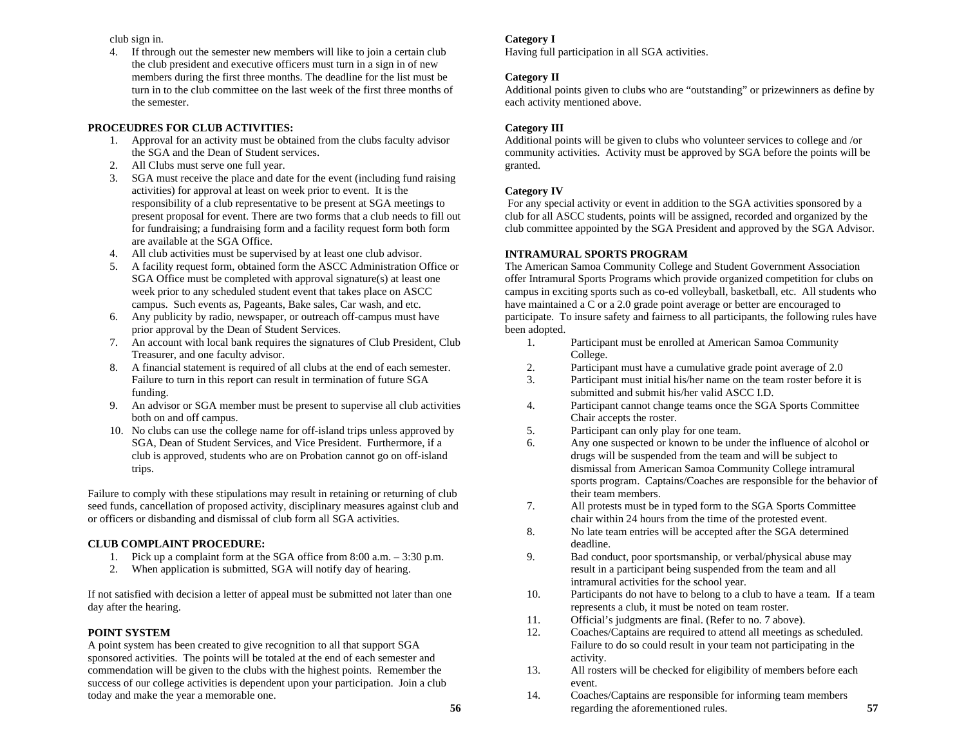club sign in.

4. If through out the semester new members will like to join a certain club the club president and executive officers must turn in a sign in of new members during the first three months. The deadline for the list must be turn in to the club committee on the last week of the first three months of the semester.

### **PROCEUDRES FOR CLUB ACTIVITIES:**

- 1. Approval for an activity must be obtained from the clubs faculty advisor the SGA and the Dean of Student services.
- 2. All Clubs must serve one full year.
- 3. SGA must receive the place and date for the event (including fund raising activities) for approval at least on week prior to event. It is the responsibility of a club representative to be present at SGA meetings to present proposal for event. There are two forms that a club needs to fill out for fundraising; a fundraising form and a facility request form both form are available at the SGA Office.
- 4. All club activities must be supervised by at least one club advisor.
- 5. A facility request form, obtained form the ASCC Administration Office or SGA Office must be completed with approval signature(s) at least one week prior to any scheduled student event that takes place on ASCC campus. Such events as, Pageants, Bake sales, Car wash, and etc.
- 6. Any publicity by radio, newspaper, or outreach off-campus must have prior approval by the Dean of Student Services.
- 7. An account with local bank requires the signatures of Club President, Club Treasurer, and one faculty advisor.
- 8. A financial statement is required of all clubs at the end of each semester. Failure to turn in this report can result in termination of future SGA funding.
- 9. An advisor or SGA member must be present to supervise all club activities both on and off campus.
- 10. No clubs can use the college name for off-island trips unless approved by SGA, Dean of Student Services, and Vice President. Furthermore, if a club is approved, students who are on Probation cannot go on off-island trips.

Failure to comply with these stipulations may result in retaining or returning of club seed funds, cancellation of proposed activity, disciplinary measures against club and or officers or disbanding and dismissal of club form all SGA activities.

### **CLUB COMPLAINT PROCEDURE:**

- 1. Pick up a complaint form at the SGA office from 8:00 a.m. 3:30 p.m.
- 2. When application is submitted, SGA will notify day of hearing.

If not satisfied with decision a letter of appeal must be submitted not later than one day after the hearing.

### **POINT SYSTEM**

A point system has been created to give recognition to all that support SGA sponsored activities. The points will be totaled at the end of each semester and commendation will be given to the clubs with the highest points. Remember the success of our college activities is dependent upon your participation. Join a club today and make the year a memorable one.

### **Category I**

Having full participation in all SGA activities.

## **Category II**

Additional points given to clubs who are "outstanding" or prizewinners as define by each activity mentioned above.

## **Category III**

Additional points will be given to clubs who volunteer services to college and /or community activities. Activity must be approved by SGA before the points will be granted.

## **Category IV**

 For any special activity or event in addition to the SGA activities sponsored by a club for all ASCC students, points will be assigned, recorded and organized by the club committee appointed by the SGA President and approved by the SGA Advisor.

## **INTRAMURAL SPORTS PROGRAM**

The American Samoa Community College and Student Government Association offer Intramural Sports Programs which provide organized competition for clubs on campus in exciting sports such as co-ed volleyball, basketball, etc. All students who have maintained a C or a 2.0 grade point average or better are encouraged to participate. To insure safety and fairness to all participants, the following rules have been adopted.

- 1. Participant must be enrolled at American Samoa Community College.
- 2.Participant must have a cumulative grade point average of 2.0
- 3. Participant must initial his/her name on the team roster before it is submitted and submit his/her valid ASCC I.D.
- 4. Participant cannot change teams once the SGA Sports Committee Chair accepts the roster.
- 5.Participant can only play for one team.
- 6. Any one suspected or known to be under the influence of alcohol or drugs will be suspended from the team and will be subject to dismissal from American Samoa Community College intramural sports program. Captains/Coaches are responsible for the behavior of their team members.
- 7. All protests must be in typed form to the SGA Sports Committee chair within 24 hours from the time of the protested event.
- 8. No late team entries will be accepted after the SGA determined deadline.
- 9. Bad conduct, poor sportsmanship, or verbal/physical abuse may result in a participant being suspended from the team and all intramural activities for the school year.
- 10. Participants do not have to belong to a club to have a team. If a team represents a club, it must be noted on team roster.
- 11.Official's judgments are final. (Refer to no. 7 above).
- 12. Coaches/Captains are required to attend all meetings as scheduled. Failure to do so could result in your team not participating in the activity.
- 13. All rosters will be checked for eligibility of members before each event.
- 14. Coaches/Captains are responsible for informing team members regarding the aforementioned rules. **57**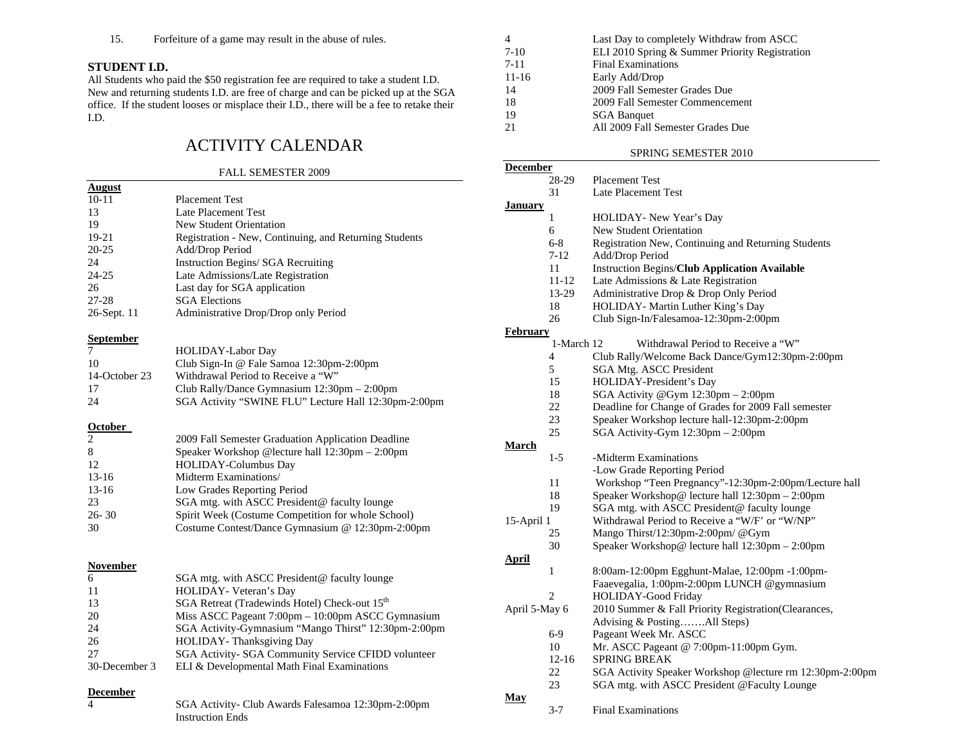15.Forfeiture of a game may result in the abuse of rules.

#### **STUDENT I.D.**

All Students who paid the \$50 registration fee are required to take a student I.D. New and returning students I.D. are free of charge and can be picked up at the SGA office. If the student looses or misplace their I.D., there will be a fee to retake their I.D.

# ACTIVITY CALENDAR

#### FALL SEMESTER 2009

| <b>August</b>    |                                                           |
|------------------|-----------------------------------------------------------|
| $10 - 11$        | <b>Placement Test</b>                                     |
| 13               | <b>Late Placement Test</b>                                |
| 19               | New Student Orientation                                   |
| $19-21$          | Registration - New, Continuing, and Returning Students    |
| $20 - 25$        | Add/Drop Period                                           |
| 24               | Instruction Begins/ SGA Recruiting                        |
| 24-25            | Late Admissions/Late Registration                         |
| 26               | Last day for SGA application                              |
| $27 - 28$        | <b>SGA Elections</b>                                      |
| 26-Sept. 11      | Administrative Drop/Drop only Period                      |
| <b>September</b> |                                                           |
| 7                | HOLIDAY-Labor Day                                         |
| 10               | Club Sign-In @ Fale Samoa 12:30pm-2:00pm                  |
| 14-October 23    | Withdrawal Period to Receive a "W"                        |
| 17               | Club Rally/Dance Gymnasium 12:30pm - 2:00pm               |
| 24               | SGA Activity "SWINE FLU" Lecture Hall 12:30pm-2:00pm      |
| October          |                                                           |
| $\overline{c}$   | 2009 Fall Semester Graduation Application Deadline        |
| 8                | Speaker Workshop @lecture hall 12:30pm - 2:00pm           |
| 12               | <b>HOLIDAY-Columbus Day</b>                               |
| $13 - 16$        | Midterm Examinations/                                     |
| $13-16$          | Low Grades Reporting Period                               |
| 23               | SGA mtg. with ASCC President@ faculty lounge              |
| $26 - 30$        | Spirit Week (Costume Competition for whole School)        |
| 30               | Costume Contest/Dance Gymnasium @ 12:30pm-2:00pm          |
|                  |                                                           |
| <b>November</b>  |                                                           |
| 6                | SGA mtg. with ASCC President@ faculty lounge              |
| 11               | HOLIDAY- Veteran's Day                                    |
| 13               | SGA Retreat (Tradewinds Hotel) Check-out 15 <sup>th</sup> |
| 20               | Miss ASCC Pageant 7:00pm - 10:00pm ASCC Gymnasium         |
| 24               | SGA Activity-Gymnasium "Mango Thirst" 12:30pm-2:00pm      |
| 26               | HOLIDAY-Thanksgiving Day                                  |
| 27               | SGA Activity- SGA Community Service CFIDD volunteer       |
| 30-December 3    | ELI & Developmental Math Final Examinations               |
| <b>December</b>  |                                                           |

4 SGA Activity- Club Awards Falesamoa 12:30pm-2:00pm

Instruction Ends

|           | Last Day to completely Withdraw from ASCC      |
|-----------|------------------------------------------------|
| 7-10      | ELI 2010 Spring & Summer Priority Registration |
| $7 - 11$  | <b>Final Examinations</b>                      |
| $11 - 16$ | Early Add/Drop                                 |
| 14        | 2009 Fall Semester Grades Due                  |
| 18        | 2009 Fall Semester Commencement                |
| 19        | <b>SGA Banquet</b>                             |
|           | All 2009 Fall Semester Grades Due              |

#### SPRING SEMESTER 2010

| <b>December</b> |            |                                                          |
|-----------------|------------|----------------------------------------------------------|
|                 | 28-29      | <b>Placement Test</b>                                    |
|                 | 31         | Late Placement Test                                      |
| <b>January</b>  |            |                                                          |
|                 | 1          | HOLIDAY- New Year's Day                                  |
|                 | 6          | <b>New Student Orientation</b>                           |
|                 | $6 - 8$    | Registration New, Continuing and Returning Students      |
|                 | $7 - 12$   | Add/Drop Period                                          |
|                 | 11         | <b>Instruction Begins/Club Application Available</b>     |
|                 | 11-12      | Late Admissions & Late Registration                      |
|                 | 13-29      | Administrative Drop & Drop Only Period                   |
|                 | 18         | HOLIDAY- Martin Luther King's Day                        |
|                 | 26         | Club Sign-In/Falesamoa-12:30pm-2:00pm                    |
| <b>February</b> |            |                                                          |
|                 | 1-March 12 | Withdrawal Period to Receive a "W"                       |
|                 | 4          | Club Rally/Welcome Back Dance/Gym12:30pm-2:00pm          |
|                 | 5          | SGA Mtg. ASCC President                                  |
|                 | 15         | HOLIDAY-President's Day                                  |
|                 | 18         | SGA Activity @Gym 12:30pm - 2:00pm                       |
|                 | 22         | Deadline for Change of Grades for 2009 Fall semester     |
|                 | 23         | Speaker Workshop lecture hall-12:30pm-2:00pm             |
|                 | 25         | SGA Activity-Gym 12:30pm - 2:00pm                        |
| March           |            |                                                          |
|                 | $1-5$      | -Midterm Examinations                                    |
|                 |            | -Low Grade Reporting Period                              |
|                 | 11         | Workshop "Teen Pregnancy"-12:30pm-2:00pm/Lecture hall    |
|                 | 18         | Speaker Workshop@ lecture hall 12:30pm - 2:00pm          |
|                 | 19         | SGA mtg. with ASCC President@ faculty lounge             |
| 15-April 1      |            | Withdrawal Period to Receive a "W/F' or "W/NP"           |
|                 | 25         | Mango Thirst/12:30pm-2:00pm/@Gym                         |
|                 | 30         | Speaker Workshop@ lecture hall 12:30pm - 2:00pm          |
| April           |            |                                                          |
|                 | 1          | 8:00am-12:00pm Egghunt-Malae, 12:00pm -1:00pm-           |
|                 |            | Faaevegalia, 1:00pm-2:00pm LUNCH @gymnasium              |
|                 | 2          | HOLIDAY-Good Friday                                      |
| April 5-May 6   |            | 2010 Summer & Fall Priority Registration(Clearances,     |
|                 |            | Advising & PostingAll Steps)                             |
|                 | 6-9        | Pageant Week Mr. ASCC                                    |
|                 | 10         | Mr. ASCC Pageant @ 7:00pm-11:00pm Gym.                   |
|                 | 12-16      | <b>SPRING BREAK</b>                                      |
|                 | 22         | SGA Activity Speaker Workshop @lecture rm 12:30pm-2:00pm |
|                 | 23         | SGA mtg. with ASCC President @Faculty Lounge             |
| May             |            |                                                          |
|                 | $3 - 7$    | <b>Final Examinations</b>                                |